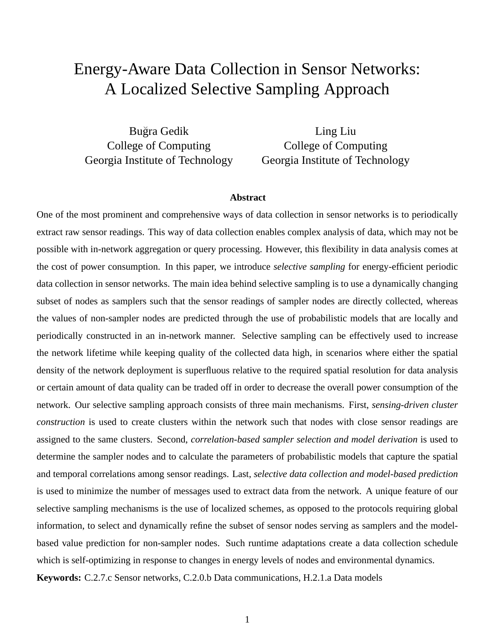# Energy-Aware Data Collection in Sensor Networks: A Localized Selective Sampling Approach

Bugra Gedik ˘ College of Computing Georgia Institute of Technology

Ling Liu College of Computing Georgia Institute of Technology

#### **Abstract**

One of the most prominent and comprehensive ways of data collection in sensor networks is to periodically extract raw sensor readings. This way of data collection enables complex analysis of data, which may not be possible with in-network aggregation or query processing. However, this flexibility in data analysis comes at the cost of power consumption. In this paper, we introduce *selective sampling* for energy-efficient periodic data collection in sensor networks. The main idea behind selective sampling is to use a dynamically changing subset of nodes as samplers such that the sensor readings of sampler nodes are directly collected, whereas the values of non-sampler nodes are predicted through the use of probabilistic models that are locally and periodically constructed in an in-network manner. Selective sampling can be effectively used to increase the network lifetime while keeping quality of the collected data high, in scenarios where either the spatial density of the network deployment is superfluous relative to the required spatial resolution for data analysis or certain amount of data quality can be traded off in order to decrease the overall power consumption of the network. Our selective sampling approach consists of three main mechanisms. First, *sensing-driven cluster construction* is used to create clusters within the network such that nodes with close sensor readings are assigned to the same clusters. Second, *correlation-based sampler selection and model derivation* is used to determine the sampler nodes and to calculate the parameters of probabilistic models that capture the spatial and temporal correlations among sensor readings. Last, *selective data collection and model-based prediction* is used to minimize the number of messages used to extract data from the network. A unique feature of our selective sampling mechanisms is the use of localized schemes, as opposed to the protocols requiring global information, to select and dynamically refine the subset of sensor nodes serving as samplers and the modelbased value prediction for non-sampler nodes. Such runtime adaptations create a data collection schedule which is self-optimizing in response to changes in energy levels of nodes and environmental dynamics. **Keywords:** C.2.7.c Sensor networks, C.2.0.b Data communications, H.2.1.a Data models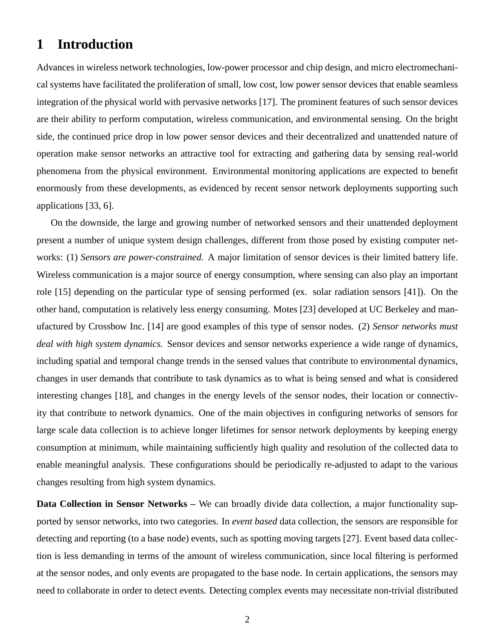## **1 Introduction**

Advances in wireless network technologies, low-power processor and chip design, and micro electromechanical systems have facilitated the proliferation of small, low cost, low power sensor devices that enable seamless integration of the physical world with pervasive networks [17]. The prominent features of such sensor devices are their ability to perform computation, wireless communication, and environmental sensing. On the bright side, the continued price drop in low power sensor devices and their decentralized and unattended nature of operation make sensor networks an attractive tool for extracting and gathering data by sensing real-world phenomena from the physical environment. Environmental monitoring applications are expected to benefit enormously from these developments, as evidenced by recent sensor network deployments supporting such applications [33, 6].

On the downside, the large and growing number of networked sensors and their unattended deployment present a number of unique system design challenges, different from those posed by existing computer networks: (1) *Sensors are power-constrained.* A major limitation of sensor devices is their limited battery life. Wireless communication is a major source of energy consumption, where sensing can also play an important role [15] depending on the particular type of sensing performed (ex. solar radiation sensors [41]). On the other hand, computation is relatively less energy consuming. Motes [23] developed at UC Berkeley and manufactured by Crossbow Inc. [14] are good examples of this type of sensor nodes. (2) *Sensor networks must deal with high system dynamics.* Sensor devices and sensor networks experience a wide range of dynamics, including spatial and temporal change trends in the sensed values that contribute to environmental dynamics, changes in user demands that contribute to task dynamics as to what is being sensed and what is considered interesting changes [18], and changes in the energy levels of the sensor nodes, their location or connectivity that contribute to network dynamics. One of the main objectives in configuring networks of sensors for large scale data collection is to achieve longer lifetimes for sensor network deployments by keeping energy consumption at minimum, while maintaining sufficiently high quality and resolution of the collected data to enable meaningful analysis. These configurations should be periodically re-adjusted to adapt to the various changes resulting from high system dynamics.

**Data Collection in Sensor Networks –** We can broadly divide data collection, a major functionality supported by sensor networks, into two categories. In *event based* data collection, the sensors are responsible for detecting and reporting (to a base node) events, such as spotting moving targets [27]. Event based data collection is less demanding in terms of the amount of wireless communication, since local filtering is performed at the sensor nodes, and only events are propagated to the base node. In certain applications, the sensors may need to collaborate in order to detect events. Detecting complex events may necessitate non-trivial distributed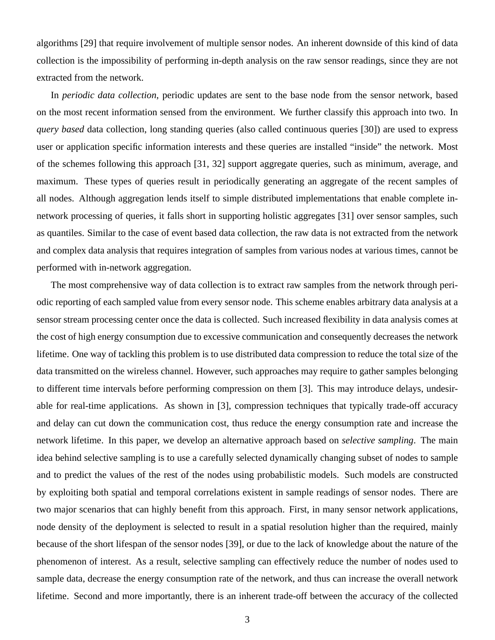algorithms [29] that require involvement of multiple sensor nodes. An inherent downside of this kind of data collection is the impossibility of performing in-depth analysis on the raw sensor readings, since they are not extracted from the network.

In *periodic data collection*, periodic updates are sent to the base node from the sensor network, based on the most recent information sensed from the environment. We further classify this approach into two. In *query based* data collection, long standing queries (also called continuous queries [30]) are used to express user or application specific information interests and these queries are installed "inside" the network. Most of the schemes following this approach [31, 32] support aggregate queries, such as minimum, average, and maximum. These types of queries result in periodically generating an aggregate of the recent samples of all nodes. Although aggregation lends itself to simple distributed implementations that enable complete innetwork processing of queries, it falls short in supporting holistic aggregates [31] over sensor samples, such as quantiles. Similar to the case of event based data collection, the raw data is not extracted from the network and complex data analysis that requires integration of samples from various nodes at various times, cannot be performed with in-network aggregation.

The most comprehensive way of data collection is to extract raw samples from the network through periodic reporting of each sampled value from every sensor node. This scheme enables arbitrary data analysis at a sensor stream processing center once the data is collected. Such increased flexibility in data analysis comes at the cost of high energy consumption due to excessive communication and consequently decreases the network lifetime. One way of tackling this problem is to use distributed data compression to reduce the total size of the data transmitted on the wireless channel. However, such approaches may require to gather samples belonging to different time intervals before performing compression on them [3]. This may introduce delays, undesirable for real-time applications. As shown in [3], compression techniques that typically trade-off accuracy and delay can cut down the communication cost, thus reduce the energy consumption rate and increase the network lifetime. In this paper, we develop an alternative approach based on *selective sampling*. The main idea behind selective sampling is to use a carefully selected dynamically changing subset of nodes to sample and to predict the values of the rest of the nodes using probabilistic models. Such models are constructed by exploiting both spatial and temporal correlations existent in sample readings of sensor nodes. There are two major scenarios that can highly benefit from this approach. First, in many sensor network applications, node density of the deployment is selected to result in a spatial resolution higher than the required, mainly because of the short lifespan of the sensor nodes [39], or due to the lack of knowledge about the nature of the phenomenon of interest. As a result, selective sampling can effectively reduce the number of nodes used to sample data, decrease the energy consumption rate of the network, and thus can increase the overall network lifetime. Second and more importantly, there is an inherent trade-off between the accuracy of the collected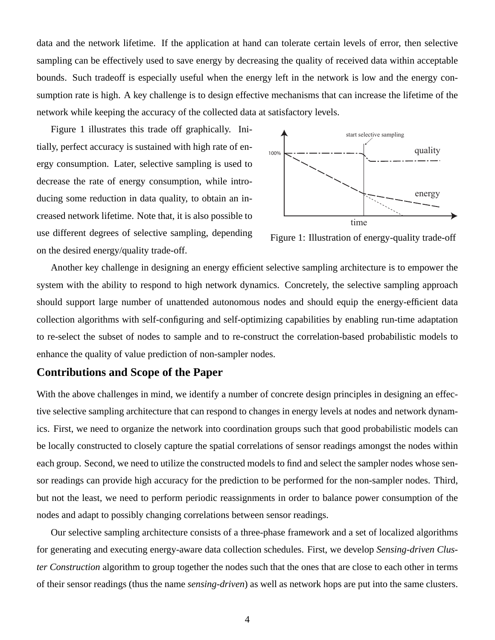data and the network lifetime. If the application at hand can tolerate certain levels of error, then selective sampling can be effectively used to save energy by decreasing the quality of received data within acceptable bounds. Such tradeoff is especially useful when the energy left in the network is low and the energy consumption rate is high. A key challenge is to design effective mechanisms that can increase the lifetime of the network while keeping the accuracy of the collected data at satisfactory levels.

Figure 1 illustrates this trade off graphically. Initially, perfect accuracy is sustained with high rate of energy consumption. Later, selective sampling is used to decrease the rate of energy consumption, while introducing some reduction in data quality, to obtain an increased network lifetime. Note that, it is also possible to use different degrees of selective sampling, depending on the desired energy/quality trade-off.



Figure 1: Illustration of energy-quality trade-off

Another key challenge in designing an energy efficient selective sampling architecture is to empower the system with the ability to respond to high network dynamics. Concretely, the selective sampling approach should support large number of unattended autonomous nodes and should equip the energy-efficient data collection algorithms with self-configuring and self-optimizing capabilities by enabling run-time adaptation to re-select the subset of nodes to sample and to re-construct the correlation-based probabilistic models to enhance the quality of value prediction of non-sampler nodes.

#### **Contributions and Scope of the Paper**

With the above challenges in mind, we identify a number of concrete design principles in designing an effective selective sampling architecture that can respond to changes in energy levels at nodes and network dynamics. First, we need to organize the network into coordination groups such that good probabilistic models can be locally constructed to closely capture the spatial correlations of sensor readings amongst the nodes within each group. Second, we need to utilize the constructed models to find and select the sampler nodes whose sensor readings can provide high accuracy for the prediction to be performed for the non-sampler nodes. Third, but not the least, we need to perform periodic reassignments in order to balance power consumption of the nodes and adapt to possibly changing correlations between sensor readings.

Our selective sampling architecture consists of a three-phase framework and a set of localized algorithms for generating and executing energy-aware data collection schedules. First, we develop *Sensing-driven Cluster Construction* algorithm to group together the nodes such that the ones that are close to each other in terms of their sensor readings (thus the name *sensing-driven*) as well as network hops are put into the same clusters.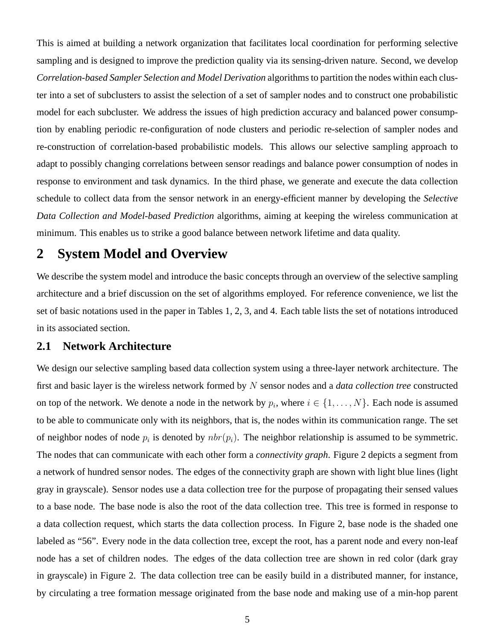This is aimed at building a network organization that facilitates local coordination for performing selective sampling and is designed to improve the prediction quality via its sensing-driven nature. Second, we develop *Correlation-based Sampler Selection and Model Derivation* algorithms to partition the nodes within each cluster into a set of subclusters to assist the selection of a set of sampler nodes and to construct one probabilistic model for each subcluster. We address the issues of high prediction accuracy and balanced power consumption by enabling periodic re-configuration of node clusters and periodic re-selection of sampler nodes and re-construction of correlation-based probabilistic models. This allows our selective sampling approach to adapt to possibly changing correlations between sensor readings and balance power consumption of nodes in response to environment and task dynamics. In the third phase, we generate and execute the data collection schedule to collect data from the sensor network in an energy-efficient manner by developing the *Selective Data Collection and Model-based Prediction* algorithms, aiming at keeping the wireless communication at minimum. This enables us to strike a good balance between network lifetime and data quality.

## **2 System Model and Overview**

We describe the system model and introduce the basic concepts through an overview of the selective sampling architecture and a brief discussion on the set of algorithms employed. For reference convenience, we list the set of basic notations used in the paper in Tables 1, 2, 3, and 4. Each table lists the set of notations introduced in its associated section.

### **2.1 Network Architecture**

We design our selective sampling based data collection system using a three-layer network architecture. The first and basic layer is the wireless network formed by N sensor nodes and a *data collection tree* constructed on top of the network. We denote a node in the network by  $p_i$ , where  $i \in \{1, ..., N\}$ . Each node is assumed to be able to communicate only with its neighbors, that is, the nodes within its communication range. The set of neighbor nodes of node  $p_i$  is denoted by  $nbr(p_i)$ . The neighbor relationship is assumed to be symmetric. The nodes that can communicate with each other form a *connectivity graph*. Figure 2 depicts a segment from a network of hundred sensor nodes. The edges of the connectivity graph are shown with light blue lines (light gray in grayscale). Sensor nodes use a data collection tree for the purpose of propagating their sensed values to a base node. The base node is also the root of the data collection tree. This tree is formed in response to a data collection request, which starts the data collection process. In Figure 2, base node is the shaded one labeled as "56". Every node in the data collection tree, except the root, has a parent node and every non-leaf node has a set of children nodes. The edges of the data collection tree are shown in red color (dark gray in grayscale) in Figure 2. The data collection tree can be easily build in a distributed manner, for instance, by circulating a tree formation message originated from the base node and making use of a min-hop parent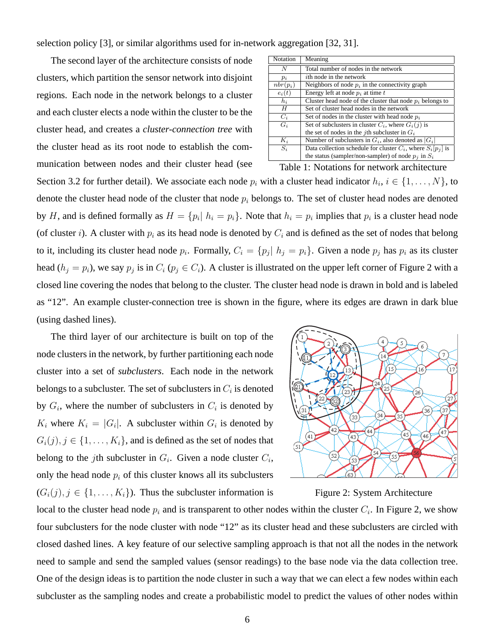selection policy [3], or similar algorithms used for in-network aggregation [32, 31].

The second layer of the architecture consists of node clusters, which partition the sensor network into disjoint regions. Each node in the network belongs to a cluster and each cluster elects a node within the cluster to be the cluster head, and creates a *cluster-connection tree* with the cluster head as its root node to establish the communication between nodes and their cluster head (see

| Notation                                    | Meaning                                                          |  |
|---------------------------------------------|------------------------------------------------------------------|--|
| N                                           | Total number of nodes in the network                             |  |
| $p_i$                                       | <i>i</i> th node in the network                                  |  |
| $nbr(p_i)$                                  | Neighbors of node $p_i$ in the connectivity graph                |  |
| $e_i(t)$                                    | Energy left at node $p_i$ at time $t$                            |  |
| $h_i$                                       | Cluster head node of the cluster that node $p_i$ belongs to      |  |
| H                                           | Set of cluster head nodes in the network                         |  |
| $C_i$                                       | Set of nodes in the cluster with head node $p_i$                 |  |
| $G_i$                                       | Set of subclusters in cluster $C_i$ , where $G_i(j)$ is          |  |
|                                             | the set of nodes in the <i>j</i> th subcluster in $G_i$          |  |
| $K_i$                                       | Number of subclusters in $G_i$ , also denoted as $ G_i $         |  |
| $S_i$                                       | Data collection schedule for cluster $C_i$ , where $S_i[p_i]$ is |  |
|                                             | the status (sampler/non-sampler) of node $p_i$ in $S_i$          |  |
| Table 1: Notations for network architecture |                                                                  |  |

Section 3.2 for further detail). We associate each node  $p_i$  with a cluster head indicator  $h_i$ ,  $i \in \{1, ..., N\}$ , to denote the cluster head node of the cluster that node  $p_i$  belongs to. The set of cluster head nodes are denoted by H, and is defined formally as  $H = \{p_i | h_i = p_i\}$ . Note that  $h_i = p_i$  implies that  $p_i$  is a cluster head node (of cluster i). A cluster with  $p_i$  as its head node is denoted by  $C_i$  and is defined as the set of nodes that belong to it, including its cluster head node  $p_i$ . Formally,  $C_i = \{p_j | h_j = p_i\}$ . Given a node  $p_j$  has  $p_i$  as its cluster head  $(h_j = p_i)$ , we say  $p_j$  is in  $C_i$  ( $p_j \in C_i$ ). A cluster is illustrated on the upper left corner of Figure 2 with a closed line covering the nodes that belong to the cluster. The cluster head node is drawn in bold and is labeled as "12". An example cluster-connection tree is shown in the figure, where its edges are drawn in dark blue (using dashed lines).

The third layer of our architecture is built on top of the node clusters in the network, by further partitioning each node cluster into a set of *subclusters*. Each node in the network belongs to a subcluster. The set of subclusters in  $C_i$  is denoted by  $G_i$ , where the number of subclusters in  $C_i$  is denoted by  $K_i$  where  $K_i = |G_i|$ . A subcluster within  $G_i$  is denoted by  $G_i(j), j \in \{1, \ldots, K_i\}$ , and is defined as the set of nodes that belong to the *j*th subcluster in  $G_i$ . Given a node cluster  $C_i$ , only the head node  $p_i$  of this cluster knows all its subclusters  $(G_i(j), j \in \{1, \ldots, K_i\})$ . Thus the subcluster information is



Figure 2: System Architecture

local to the cluster head node  $p_i$  and is transparent to other nodes within the cluster  $C_i$ . In Figure 2, we show four subclusters for the node cluster with node "12" as its cluster head and these subclusters are circled with closed dashed lines. A key feature of our selective sampling approach is that not all the nodes in the network need to sample and send the sampled values (sensor readings) to the base node via the data collection tree. One of the design ideas is to partition the node cluster in such a way that we can elect a few nodes within each subcluster as the sampling nodes and create a probabilistic model to predict the values of other nodes within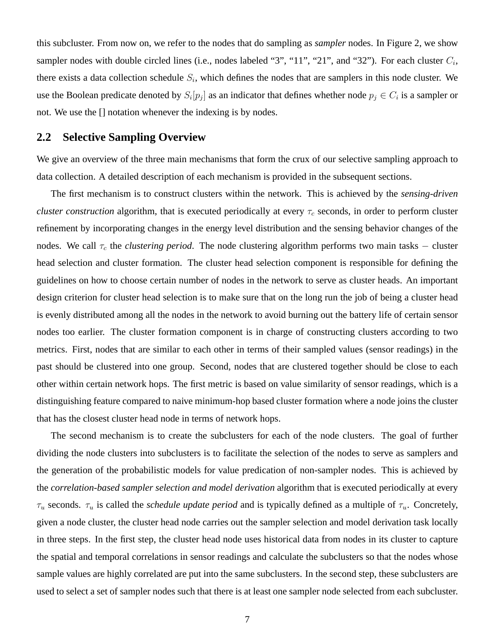this subcluster. From now on, we refer to the nodes that do sampling as *sampler* nodes. In Figure 2, we show sampler nodes with double circled lines (i.e., nodes labeled "3", "11", "21", and "32"). For each cluster  $C_i$ , there exists a data collection schedule  $S_i$ , which defines the nodes that are samplers in this node cluster. We use the Boolean predicate denoted by  $S_i[p_j]$  as an indicator that defines whether node  $p_j \in C_i$  is a sampler or not. We use the [] notation whenever the indexing is by nodes.

#### **2.2 Selective Sampling Overview**

We give an overview of the three main mechanisms that form the crux of our selective sampling approach to data collection. A detailed description of each mechanism is provided in the subsequent sections.

The first mechanism is to construct clusters within the network. This is achieved by the *sensing-driven cluster construction* algorithm, that is executed periodically at every  $\tau_c$  seconds, in order to perform cluster refinement by incorporating changes in the energy level distribution and the sensing behavior changes of the nodes. We call  $\tau_c$  the *clustering period*. The node clustering algorithm performs two main tasks – cluster head selection and cluster formation. The cluster head selection component is responsible for defining the guidelines on how to choose certain number of nodes in the network to serve as cluster heads. An important design criterion for cluster head selection is to make sure that on the long run the job of being a cluster head is evenly distributed among all the nodes in the network to avoid burning out the battery life of certain sensor nodes too earlier. The cluster formation component is in charge of constructing clusters according to two metrics. First, nodes that are similar to each other in terms of their sampled values (sensor readings) in the past should be clustered into one group. Second, nodes that are clustered together should be close to each other within certain network hops. The first metric is based on value similarity of sensor readings, which is a distinguishing feature compared to naive minimum-hop based cluster formation where a node joins the cluster that has the closest cluster head node in terms of network hops.

The second mechanism is to create the subclusters for each of the node clusters. The goal of further dividing the node clusters into subclusters is to facilitate the selection of the nodes to serve as samplers and the generation of the probabilistic models for value predication of non-sampler nodes. This is achieved by the *correlation-based sampler selection and model derivation* algorithm that is executed periodically at every  $\tau_u$  seconds.  $\tau_u$  is called the *schedule update period* and is typically defined as a multiple of  $\tau_u$ . Concretely, given a node cluster, the cluster head node carries out the sampler selection and model derivation task locally in three steps. In the first step, the cluster head node uses historical data from nodes in its cluster to capture the spatial and temporal correlations in sensor readings and calculate the subclusters so that the nodes whose sample values are highly correlated are put into the same subclusters. In the second step, these subclusters are used to select a set of sampler nodes such that there is at least one sampler node selected from each subcluster.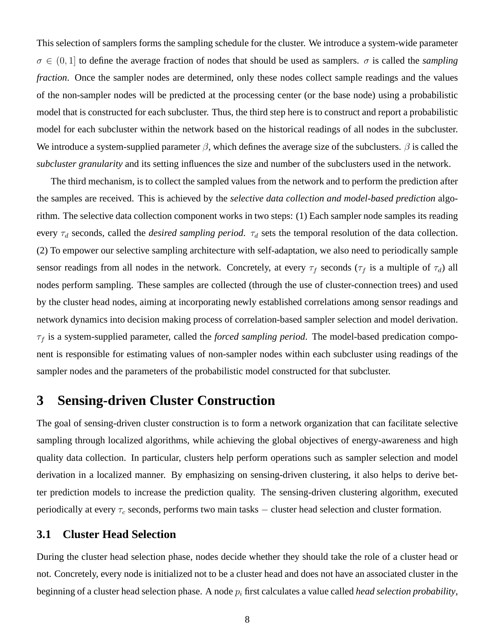This selection of samplers forms the sampling schedule for the cluster. We introduce a system-wide parameter  $\sigma \in (0, 1]$  to define the average fraction of nodes that should be used as samplers.  $\sigma$  is called the *sampling fraction*. Once the sampler nodes are determined, only these nodes collect sample readings and the values of the non-sampler nodes will be predicted at the processing center (or the base node) using a probabilistic model that is constructed for each subcluster. Thus, the third step here is to construct and report a probabilistic model for each subcluster within the network based on the historical readings of all nodes in the subcluster. We introduce a system-supplied parameter  $\beta$ , which defines the average size of the subclusters.  $\beta$  is called the *subcluster granularity* and its setting influences the size and number of the subclusters used in the network.

The third mechanism, is to collect the sampled values from the network and to perform the prediction after the samples are received. This is achieved by the *selective data collection and model-based prediction* algorithm. The selective data collection component works in two steps: (1) Each sampler node samples its reading every  $\tau_d$  seconds, called the *desired sampling period*.  $\tau_d$  sets the temporal resolution of the data collection. (2) To empower our selective sampling architecture with self-adaptation, we also need to periodically sample sensor readings from all nodes in the network. Concretely, at every  $\tau_f$  seconds ( $\tau_f$  is a multiple of  $\tau_d$ ) all nodes perform sampling. These samples are collected (through the use of cluster-connection trees) and used by the cluster head nodes, aiming at incorporating newly established correlations among sensor readings and network dynamics into decision making process of correlation-based sampler selection and model derivation.  $\tau_f$  is a system-supplied parameter, called the *forced sampling period*. The model-based predication component is responsible for estimating values of non-sampler nodes within each subcluster using readings of the sampler nodes and the parameters of the probabilistic model constructed for that subcluster.

## **3 Sensing-driven Cluster Construction**

The goal of sensing-driven cluster construction is to form a network organization that can facilitate selective sampling through localized algorithms, while achieving the global objectives of energy-awareness and high quality data collection. In particular, clusters help perform operations such as sampler selection and model derivation in a localized manner. By emphasizing on sensing-driven clustering, it also helps to derive better prediction models to increase the prediction quality. The sensing-driven clustering algorithm, executed periodically at every  $\tau_c$  seconds, performs two main tasks  $-$  cluster head selection and cluster formation.

### **3.1 Cluster Head Selection**

During the cluster head selection phase, nodes decide whether they should take the role of a cluster head or not. Concretely, every node is initialized not to be a cluster head and does not have an associated cluster in the beginning of a cluster head selection phase. A node  $p_i$  first calculates a value called *head selection probability*,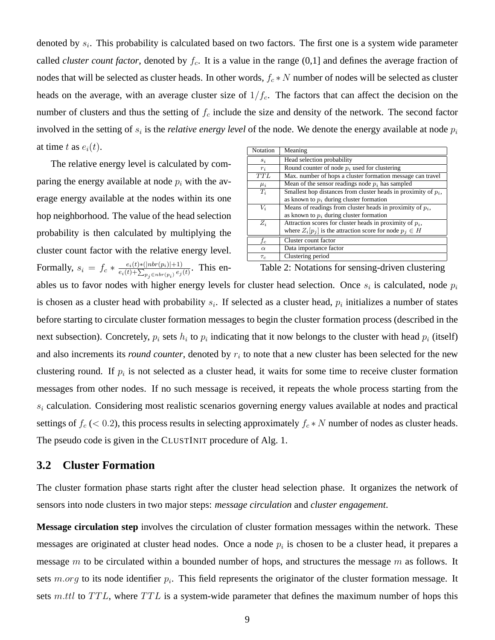denoted by  $s_i$ . This probability is calculated based on two factors. The first one is a system wide parameter called *cluster count factor*, denoted by  $f_c$ . It is a value in the range  $(0,1]$  and defines the average fraction of nodes that will be selected as cluster heads. In other words,  $f_c * N$  number of nodes will be selected as cluster heads on the average, with an average cluster size of  $1/f_c$ . The factors that can affect the decision on the number of clusters and thus the setting of  $f_c$  include the size and density of the network. The second factor involved in the setting of  $s_i$  is the *relative energy level* of the node. We denote the energy available at node  $p_i$ at time t as  $e_i(t)$ .

The relative energy level is calculated by comparing the energy available at node  $p_i$  with the average energy available at the nodes within its one hop neighborhood. The value of the head selection probability is then calculated by multiplying the cluster count factor with the relative energy level. Formally,  $s_i = f_c * \frac{e_i(t) * (|nbr(p_i)|+1)}{e_i(t) + \sum_{n_i \in nbr(p_i)} e_j}$  $\frac{e_i(t) * (|nbr(p_i)| + 1)}{e_i(t) + \sum_{p_j \in nbr(p_i)} e_j(t)}$ . This en-

| Notation         | Meaning                                                           |  |  |
|------------------|-------------------------------------------------------------------|--|--|
| $s_i$            | Head selection probability                                        |  |  |
| $r_i$            | Round counter of node $p_i$ used for clustering                   |  |  |
| $\overline{TTL}$ | Max. number of hops a cluster formation message can travel        |  |  |
| $\mu_i$          | Mean of the sensor readings node $p_i$ has sampled                |  |  |
| $T_i$            | Smallest hop distances from cluster heads in proximity of $p_i$ , |  |  |
|                  | as known to $p_i$ during cluster formation                        |  |  |
| $V_i$            | Means of readings from cluster heads in proximity of $p_i$ ,      |  |  |
|                  | as known to $p_i$ during cluster formation                        |  |  |
| $Z_i$            | Attraction scores for cluster heads in proximity of $p_i$ ,       |  |  |
|                  | where $Z_i[p_j]$ is the attraction score for node $p_j \in H$     |  |  |
| $f_c$            | Cluster count factor                                              |  |  |
| $\alpha$         | Data importance factor                                            |  |  |
| $\tau_c$         | Clustering period                                                 |  |  |

Table 2: Notations for sensing-driven clustering

ables us to favor nodes with higher energy levels for cluster head selection. Once  $s_i$  is calculated, node  $p_i$ is chosen as a cluster head with probability  $s_i$ . If selected as a cluster head,  $p_i$  initializes a number of states before starting to circulate cluster formation messages to begin the cluster formation process (described in the next subsection). Concretely,  $p_i$  sets  $h_i$  to  $p_i$  indicating that it now belongs to the cluster with head  $p_i$  (itself) and also increments its *round counter*, denoted by  $r_i$  to note that a new cluster has been selected for the new clustering round. If  $p_i$  is not selected as a cluster head, it waits for some time to receive cluster formation messages from other nodes. If no such message is received, it repeats the whole process starting from the  $s_i$  calculation. Considering most realistic scenarios governing energy values available at nodes and practical settings of  $f_c$  (< 0.2), this process results in selecting approximately  $f_c * N$  number of nodes as cluster heads. The pseudo code is given in the CLUSTINIT procedure of Alg. 1.

### **3.2 Cluster Formation**

The cluster formation phase starts right after the cluster head selection phase. It organizes the network of sensors into node clusters in two major steps: *message circulation* and *cluster engagement*.

**Message circulation step** involves the circulation of cluster formation messages within the network. These messages are originated at cluster head nodes. Once a node  $p_i$  is chosen to be a cluster head, it prepares a message m to be circulated within a bounded number of hops, and structures the message  $m$  as follows. It sets  $m.org$  to its node identifier  $p_i$ . This field represents the originator of the cluster formation message. It sets m.ttl to  $TTL$ , where  $TTL$  is a system-wide parameter that defines the maximum number of hops this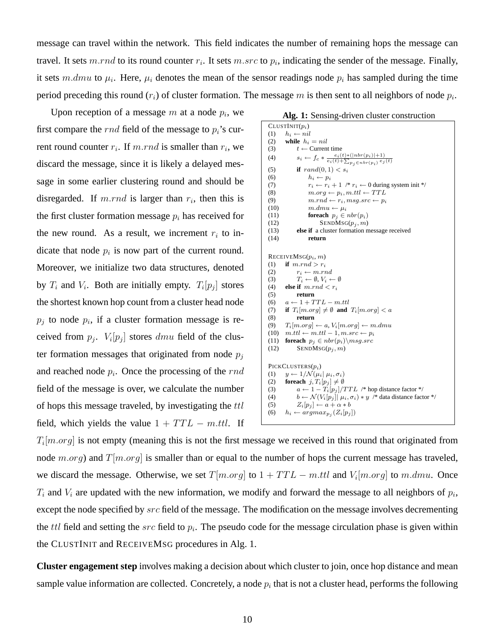message can travel within the network. This field indicates the number of remaining hops the message can travel. It sets m.rnd to its round counter  $r_i$ . It sets m.src to  $p_i$ , indicating the sender of the message. Finally, it sets m.dmu to  $\mu_i$ . Here,  $\mu_i$  denotes the mean of the sensor readings node  $p_i$  has sampled during the time period preceding this round  $(r_i)$  of cluster formation. The message m is then sent to all neighbors of node  $p_i$ .

Upon reception of a message  $m$  at a node  $p_i$ , we first compare the *rnd* field of the message to  $p_i$ 's current round counter  $r_i$ . If  $m.rnd$  is smaller than  $r_i$ , we discard the message, since it is likely a delayed message in some earlier clustering round and should be disregarded. If m.rnd is larger than  $r_i$ , then this is the first cluster formation message  $p_i$  has received for the new round. As a result, we increment  $r_i$  to indicate that node  $p_i$  is now part of the current round. Moreover, we initialize two data structures, denoted by  $T_i$  and  $V_i$ . Both are initially empty.  $T_i[p_j]$  stores the shortest known hop count from a cluster head node  $p_j$  to node  $p_i$ , if a cluster formation message is received from  $p_j$ .  $V_i[p_j]$  stores  $dmu$  field of the cluster formation messages that originated from node  $p_i$ and reached node  $p_i$ . Once the processing of the  $rnd$ field of the message is over, we calculate the number of hops this message traveled, by investigating the ttl field, which yields the value  $1 + TTL - m.ttl$ . If

|  | Alg. 1: Sensing-driven cluster construction |  |  |
|--|---------------------------------------------|--|--|
|--|---------------------------------------------|--|--|

```
CLUSTINIT(p_i)(1) h_i \leftarrow nil(2) while h_i = nil(3) t \leftarrow Current time
 (4) s_i \leftarrow f_c * \frac{e_i(t) * (|nbr(p_i)|+1)}{e_i(t) + \sum_{p_j \in nbr(p_i)} e_j(t)}(5) if rand(0, 1) < s_i<br>(6) h_i \leftarrow p_i(6) h_i \leftarrow p_i<br>(7) r_i \leftarrow r_i(7) r_i \leftarrow r_i + 1 \n\begin{array}{l}\n\leftarrow r_i \leftarrow 0 \text{ during system init }*\n\end{array}<br>
(8) m.org \leftarrow p_i, m.ttl \leftarrow TTL(8) m.org \leftarrow p_i, m.ttl \leftarrow TTL<br>
(9) m.rnd \leftarrow r_i, msg.src \leftarrow p_i(9) m.rnd \leftarrow r_i, msg.src \leftarrow p_i<br>(10) m.dmu \leftarrow \mu_im.dimu \leftarrow \mu_i(11) foreach p_i \in nbr(p_i)(12) SENDMSG(p_j, m)<br>(13) else if a cluster formation m
                 else if a cluster formation message received
(14) return
RECEIVEMSG(p_i, m)(1) if m.rnd > r_i(2) r_i \leftarrow m.rnd<br>(3) T_i \leftarrow \emptyset, V_i \leftarrow(3) T_i \leftarrow \emptyset, V_i \leftarrow \emptyset<br>(4) else if m.rnd < r_ielse if m.rnd < r_i(5) return
 (6) a \leftarrow 1 + TTL - m.ttl(7) if T_i[m.org] \neq \emptyset and T_i[m.org] < a(8) return
 (9) T_i[m.org] \leftarrow a, V_i[m.org] \leftarrow m.dmu(10) m.ttl \leftarrow m.ttl - 1, m.src \leftarrow p_i(11) foreach p_j \in nbr(p_i)\msg.src
(12) SENDMSG(p_i, m)PICKCLUSTERS(pi)
(1) y \leftarrow 1/\mathcal{N}(\mu_i | \mu_i, \sigma_i)<br>(2) foreach j, T_i[p_i] \neq \emptysetforeach j, T_i[p_j] \neq \emptyset(3) a \leftarrow 1 - T_i[p_j]/TTL /* hop distance factor */<br>(4) b \leftarrow \mathcal{N}(V_i[p_j] | \mu_i, \sigma_i) * y /* data distance fact
                 b \leftarrow \mathcal{N}(V_i[p_j] | \mu_i, \sigma_i) * y /* data distance factor */
(5) Z_i[p_j] \leftarrow a + \alpha * b<br>(6) h_i \leftarrow argmax_{p_i} (Z_i[p_i])(6) h_i \leftarrow argmax_{p_j}(Z_i[p_j])
```
 $T_i[m.org]$  is not empty (meaning this is not the first message we received in this round that originated from node m.org) and  $T[m.org]$  is smaller than or equal to the number of hops the current message has traveled, we discard the message. Otherwise, we set  $T[m.org]$  to  $1 + TTL - m.ttl$  and  $V_i[m.org]$  to  $m.dmu$ . Once  $T_i$  and  $V_i$  are updated with the new information, we modify and forward the message to all neighbors of  $p_i$ , except the node specified by src field of the message. The modification on the message involves decrementing the  $ttl$  field and setting the  $src$  field to  $p_i$ . The pseudo code for the message circulation phase is given within the CLUSTINIT and RECEIVEMSG procedures in Alg. 1.

**Cluster engagement step** involves making a decision about which cluster to join, once hop distance and mean sample value information are collected. Concretely, a node  $p_i$  that is not a cluster head, performs the following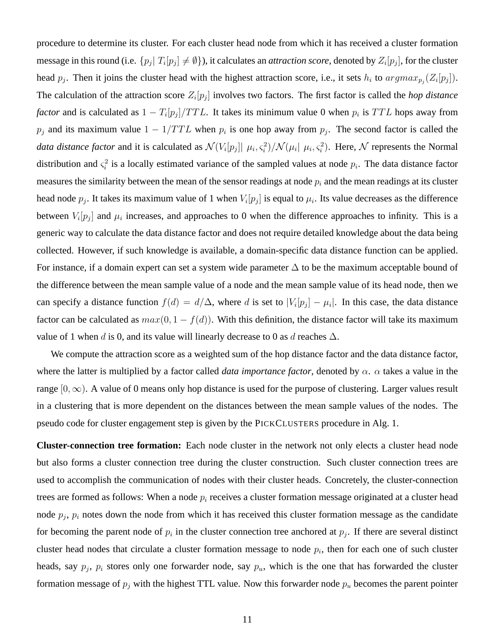procedure to determine its cluster. For each cluster head node from which it has received a cluster formation message in this round (i.e.  $\{p_j | T_i[p_j] \neq \emptyset\}$ ), it calculates an *attraction score*, denoted by  $Z_i[p_j]$ , for the cluster head  $p_j$ . Then it joins the cluster head with the highest attraction score, i.e., it sets  $h_i$  to  $argmax_{p_j}(Z_i[p_j])$ . The calculation of the attraction score  $Z_i[p_j]$  involves two factors. The first factor is called the *hop distance factor* and is calculated as  $1 - T_i[p_j]/TTL$ . It takes its minimum value 0 when  $p_i$  is TTL hops away from  $p_j$  and its maximum value  $1 - 1/TTL$  when  $p_i$  is one hop away from  $p_j$ . The second factor is called the *data distance factor* and it is calculated as  $\mathcal{N}(V_i[p_j] | \mu_i, \varsigma_i^2) / \mathcal{N}(\mu_i | \mu_i, \varsigma_i^2)$ . Here,  $\mathcal{N}$  represents the Normal distribution and  $\zeta_i^2$  is a locally estimated variance of the sampled values at node  $p_i$ . The data distance factor measures the similarity between the mean of the sensor readings at node  $p_i$  and the mean readings at its cluster head node  $p_j$ . It takes its maximum value of 1 when  $V_i[p_j]$  is equal to  $\mu_i$ . Its value decreases as the difference between  $V_i[p_j]$  and  $\mu_i$  increases, and approaches to 0 when the difference approaches to infinity. This is a generic way to calculate the data distance factor and does not require detailed knowledge about the data being collected. However, if such knowledge is available, a domain-specific data distance function can be applied. For instance, if a domain expert can set a system wide parameter  $\Delta$  to be the maximum acceptable bound of the difference between the mean sample value of a node and the mean sample value of its head node, then we can specify a distance function  $f(d) = d/\Delta$ , where d is set to  $|V_i[p_j] - \mu_i|$ . In this case, the data distance factor can be calculated as  $max(0, 1 - f(d))$ . With this definition, the distance factor will take its maximum value of 1 when d is 0, and its value will linearly decrease to 0 as d reaches  $\Delta$ .

We compute the attraction score as a weighted sum of the hop distance factor and the data distance factor, where the latter is multiplied by a factor called *data importance factor*, denoted by  $\alpha$ .  $\alpha$  takes a value in the range [0,  $\infty$ ). A value of 0 means only hop distance is used for the purpose of clustering. Larger values result in a clustering that is more dependent on the distances between the mean sample values of the nodes. The pseudo code for cluster engagement step is given by the PICKCLUSTERS procedure in Alg. 1.

**Cluster-connection tree formation:** Each node cluster in the network not only elects a cluster head node but also forms a cluster connection tree during the cluster construction. Such cluster connection trees are used to accomplish the communication of nodes with their cluster heads. Concretely, the cluster-connection trees are formed as follows: When a node  $p_i$  receives a cluster formation message originated at a cluster head node  $p_j$ ,  $p_i$  notes down the node from which it has received this cluster formation message as the candidate for becoming the parent node of  $p_i$  in the cluster connection tree anchored at  $p_j$ . If there are several distinct cluster head nodes that circulate a cluster formation message to node  $p_i$ , then for each one of such cluster heads, say  $p_j$ ,  $p_i$  stores only one forwarder node, say  $p_u$ , which is the one that has forwarded the cluster formation message of  $p_j$  with the highest TTL value. Now this forwarder node  $p_u$  becomes the parent pointer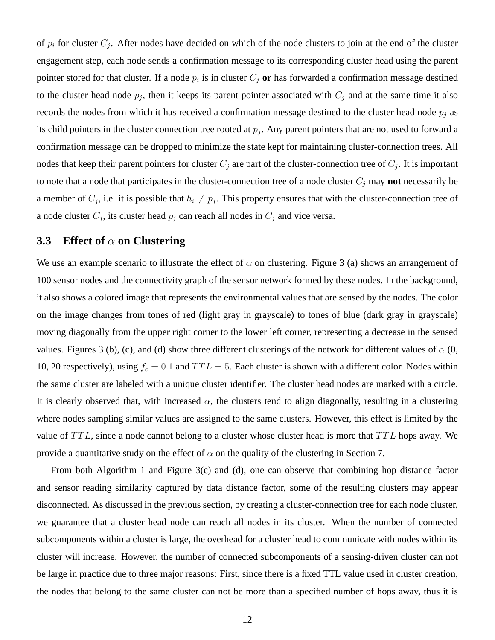of  $p_i$  for cluster  $C_j$ . After nodes have decided on which of the node clusters to join at the end of the cluster engagement step, each node sends a confirmation message to its corresponding cluster head using the parent pointer stored for that cluster. If a node  $p_i$  is in cluster  $C_j$  or has forwarded a confirmation message destined to the cluster head node  $p_j$ , then it keeps its parent pointer associated with  $C_j$  and at the same time it also records the nodes from which it has received a confirmation message destined to the cluster head node  $p_i$  as its child pointers in the cluster connection tree rooted at  $p_j$ . Any parent pointers that are not used to forward a confirmation message can be dropped to minimize the state kept for maintaining cluster-connection trees. All nodes that keep their parent pointers for cluster  $C_j$  are part of the cluster-connection tree of  $C_j$ . It is important to note that a node that participates in the cluster-connection tree of a node cluster  $C_i$  may **not** necessarily be a member of  $C_j$ , i.e. it is possible that  $h_i \neq p_j$ . This property ensures that with the cluster-connection tree of a node cluster  $C_j$ , its cluster head  $p_j$  can reach all nodes in  $C_j$  and vice versa.

### **3.3 Effect of** α **on Clustering**

We use an example scenario to illustrate the effect of  $\alpha$  on clustering. Figure 3 (a) shows an arrangement of 100 sensor nodes and the connectivity graph of the sensor network formed by these nodes. In the background, it also shows a colored image that represents the environmental values that are sensed by the nodes. The color on the image changes from tones of red (light gray in grayscale) to tones of blue (dark gray in grayscale) moving diagonally from the upper right corner to the lower left corner, representing a decrease in the sensed values. Figures 3 (b), (c), and (d) show three different clusterings of the network for different values of  $\alpha$  (0, 10, 20 respectively), using  $f_c = 0.1$  and  $TTL = 5$ . Each cluster is shown with a different color. Nodes within the same cluster are labeled with a unique cluster identifier. The cluster head nodes are marked with a circle. It is clearly observed that, with increased  $\alpha$ , the clusters tend to align diagonally, resulting in a clustering where nodes sampling similar values are assigned to the same clusters. However, this effect is limited by the value of  $TTL$ , since a node cannot belong to a cluster whose cluster head is more that  $TTL$  hops away. We provide a quantitative study on the effect of  $\alpha$  on the quality of the clustering in Section 7.

From both Algorithm 1 and Figure 3(c) and (d), one can observe that combining hop distance factor and sensor reading similarity captured by data distance factor, some of the resulting clusters may appear disconnected. As discussed in the previous section, by creating a cluster-connection tree for each node cluster, we guarantee that a cluster head node can reach all nodes in its cluster. When the number of connected subcomponents within a cluster is large, the overhead for a cluster head to communicate with nodes within its cluster will increase. However, the number of connected subcomponents of a sensing-driven cluster can not be large in practice due to three major reasons: First, since there is a fixed TTL value used in cluster creation, the nodes that belong to the same cluster can not be more than a specified number of hops away, thus it is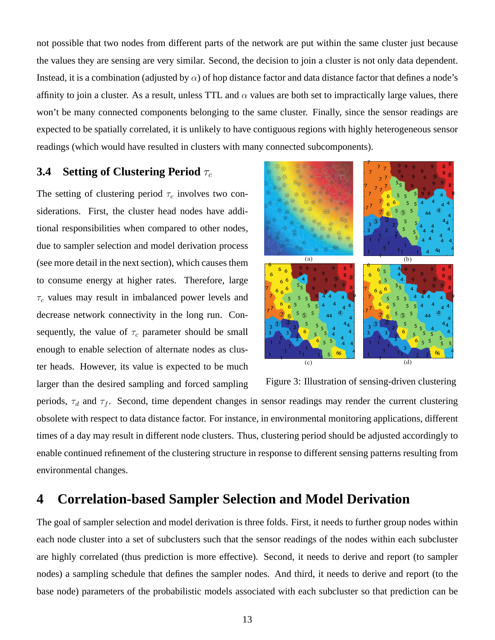not possible that two nodes from different parts of the network are put within the same cluster just because the values they are sensing are very similar. Second, the decision to join a cluster is not only data dependent. Instead, it is a combination (adjusted by  $\alpha$ ) of hop distance factor and data distance factor that defines a node's affinity to join a cluster. As a result, unless TTL and  $\alpha$  values are both set to impractically large values, there won't be many connected components belonging to the same cluster. Finally, since the sensor readings are expected to be spatially correlated, it is unlikely to have contiguous regions with highly heterogeneous sensor readings (which would have resulted in clusters with many connected subcomponents).

### **3.4 Setting of Clustering Period**  $τ_c$

The setting of clustering period  $\tau_c$  involves two considerations. First, the cluster head nodes have additional responsibilities when compared to other nodes, due to sampler selection and model derivation process (see more detail in the next section), which causes them to consume energy at higher rates. Therefore, large  $\tau_c$  values may result in imbalanced power levels and decrease network connectivity in the long run. Consequently, the value of  $\tau_c$  parameter should be small enough to enable selection of alternate nodes as cluster heads. However, its value is expected to be much larger than the desired sampling and forced sampling



Figure 3: Illustration of sensing-driven clustering

periods,  $\tau_d$  and  $\tau_f$ . Second, time dependent changes in sensor readings may render the current clustering obsolete with respect to data distance factor. For instance, in environmental monitoring applications, different times of a day may result in different node clusters. Thus, clustering period should be adjusted accordingly to enable continued refinement of the clustering structure in response to different sensing patterns resulting from environmental changes.

## **4 Correlation-based Sampler Selection and Model Derivation**

The goal of sampler selection and model derivation is three folds. First, it needs to further group nodes within each node cluster into a set of subclusters such that the sensor readings of the nodes within each subcluster are highly correlated (thus prediction is more effective). Second, it needs to derive and report (to sampler nodes) a sampling schedule that defines the sampler nodes. And third, it needs to derive and report (to the base node) parameters of the probabilistic models associated with each subcluster so that prediction can be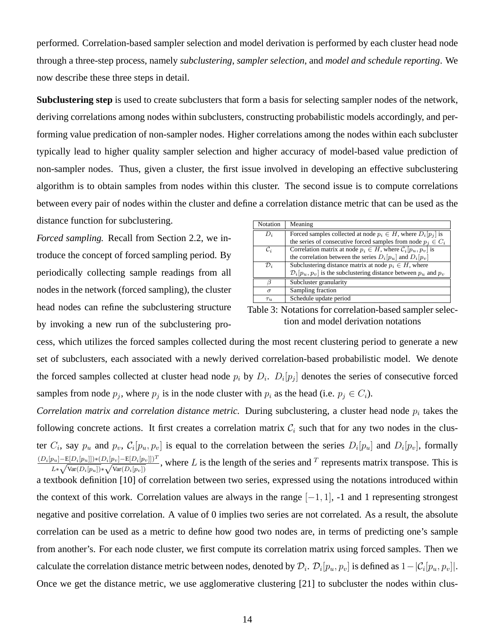performed. Correlation-based sampler selection and model derivation is performed by each cluster head node through a three-step process, namely *subclustering*, *sampler selection*, and *model and schedule reporting*. We now describe these three steps in detail.

**Subclustering step** is used to create subclusters that form a basis for selecting sampler nodes of the network, deriving correlations among nodes within subclusters, constructing probabilistic models accordingly, and performing value predication of non-sampler nodes. Higher correlations among the nodes within each subcluster typically lead to higher quality sampler selection and higher accuracy of model-based value prediction of non-sampler nodes. Thus, given a cluster, the first issue involved in developing an effective subclustering algorithm is to obtain samples from nodes within this cluster. The second issue is to compute correlations between every pair of nodes within the cluster and define a correlation distance metric that can be used as the distance function for subclustering.

*Forced sampling.* Recall from Section 2.2, we introduce the concept of forced sampling period. By periodically collecting sample readings from all nodes in the network (forced sampling), the cluster head nodes can refine the subclustering structure by invoking a new run of the subclustering pro-

| Notation        | Meaning                                                                         |  |  |
|-----------------|---------------------------------------------------------------------------------|--|--|
| $D_i$           | Forced samples collected at node $p_i \in H$ , where $D_i[p_i]$ is              |  |  |
|                 | the series of consecutive forced samples from node $p_i \in C_i$                |  |  |
| $\mathcal{C}_i$ | Correlation matrix at node $p_i \in H$ , where $\mathcal{C}_i[p_u, p_v]$ is     |  |  |
|                 | the correlation between the series $D_i[p_u]$ and $D_i[p_v]$                    |  |  |
| $\mathcal{D}_i$ | Subclustering distance matrix at node $p_i \in H$ , where                       |  |  |
|                 | $\mathcal{D}_i[p_u, p_v]$ is the subclustering distance between $p_u$ and $p_v$ |  |  |
|                 | Subcluster granularity                                                          |  |  |
| $\sigma$        | Sampling fraction                                                               |  |  |
| $\tau_u$        | Schedule update period                                                          |  |  |

Table 3: Notations for correlation-based sampler selection and model derivation notations

cess, which utilizes the forced samples collected during the most recent clustering period to generate a new set of subclusters, each associated with a newly derived correlation-based probabilistic model. We denote the forced samples collected at cluster head node  $p_i$  by  $D_i$ .  $D_i[p_j]$  denotes the series of consecutive forced samples from node  $p_j$ , where  $p_j$  is in the node cluster with  $p_i$  as the head (i.e.  $p_j \in C_i$ ).

*Correlation matrix and correlation distance metric.* During subclustering, a cluster head node  $p_i$  takes the following concrete actions. It first creates a correlation matrix  $\mathcal{C}_i$  such that for any two nodes in the cluster  $C_i$ , say  $p_u$  and  $p_v$ ,  $C_i[p_u, p_v]$  is equal to the correlation between the series  $D_i[p_u]$  and  $D_i[p_v]$ , formally  $(D_i[p_u]-E[D_i[p_u]])*(D_i[p_v]-E[D_i[p_v]])^T$  $\frac{p_{u}[-E[D_i|p_u]]*(D_i|p_v]-E[D_i|p_v]]}{L*\sqrt{\text{Var}(D_i[p_u])}*\sqrt{\text{Var}(D_i[p_v])}}$ , where L is the length of the series and T represents matrix transpose. This is a textbook definition [10] of correlation between two series, expressed using the notations introduced within the context of this work. Correlation values are always in the range  $[-1, 1]$ , -1 and 1 representing strongest negative and positive correlation. A value of 0 implies two series are not correlated. As a result, the absolute correlation can be used as a metric to define how good two nodes are, in terms of predicting one's sample from another's. For each node cluster, we first compute its correlation matrix using forced samples. Then we calculate the correlation distance metric between nodes, denoted by  $\mathcal{D}_i$ .  $\mathcal{D}_i[p_u, p_v]$  is defined as  $1 - |\mathcal{C}_i[p_u, p_v]|$ . Once we get the distance metric, we use agglomerative clustering [21] to subcluster the nodes within clus-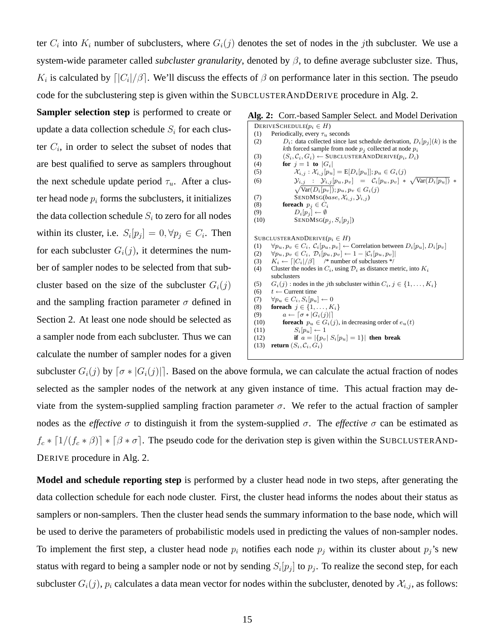ter  $C_i$  into  $K_i$  number of subclusters, where  $G_i(j)$  denotes the set of nodes in the jth subcluster. We use a system-wide parameter called *subcluster granularity*, denoted by β, to define average subcluster size. Thus,  $K_i$  is calculated by  $\lfloor |C_i|/\beta \rfloor$ . We'll discuss the effects of  $\beta$  on performance later in this section. The pseudo code for the subclustering step is given within the SUBCLUSTERANDDERIVE procedure in Alg. 2.

**Sampler selection step** is performed to create or update a data collection schedule  $S_i$  for each cluster  $C_i$ , in order to select the subset of nodes that are best qualified to serve as samplers throughout the next schedule update period  $\tau_u$ . After a cluster head node  $p_i$  forms the subclusters, it initializes the data collection schedule  $S_i$  to zero for all nodes within its cluster, i.e.  $S_i[p_j] = 0, \forall p_j \in C_i$ . Then for each subcluster  $G_i(j)$ , it determines the number of sampler nodes to be selected from that subcluster based on the size of the subcluster  $G_i(j)$ and the sampling fraction parameter  $\sigma$  defined in Section 2. At least one node should be selected as a sampler node from each subcluster. Thus we can calculate the number of sampler nodes for a given

#### **Alg. 2:** Corr.-based Sampler Select. and Model Derivation

| DERIVES CHEDULE $(p_i \in H)$                                                                                                           |
|-----------------------------------------------------------------------------------------------------------------------------------------|
| Periodically, every $\tau_u$ seconds<br>(1)                                                                                             |
| $D_i$ : data collected since last schedule derivation, $D_i[p_i](k)$ is the<br>(2)                                                      |
| kth forced sample from node $p_i$ collected at node $p_i$                                                                               |
| $(S_i, \mathcal{C}_i, G_i) \leftarrow$ SUBCLUSTER AND DERIVE $(p_i, D_i)$<br>(3)                                                        |
| for $j = 1$ to $ G_i $<br>(4)                                                                                                           |
| $\mathcal{X}_{i,j}: \mathcal{X}_{i,j}[p_u] = E[D_i[p_u]; p_u \in G_i(j)]$<br>(5)                                                        |
| $\mathcal{Y}_{i,j}$ : $\mathcal{Y}_{i,j}[p_u,p_v] = \mathcal{C}_i[p_u,p_v] * \sqrt{\text{Var}(D_i[p_u]) * \text{Var}(D_i[p_u])}$<br>(6) |
| $\sqrt{\text{Var}(D_i[p_v])}; p_u, p_v \in G_i(j)$                                                                                      |
| SENDMSG( <i>base</i> , $\mathcal{X}_{i,j}$ , $\mathcal{Y}_{i,j}$ )<br>(7)                                                               |
| foreach $p_i \in C_i$<br>(8)                                                                                                            |
| $D_i[p_i] \leftarrow \emptyset$<br>(9)                                                                                                  |
| $SENDMSG(p_i, S_i[p_i])$<br>(10)                                                                                                        |
|                                                                                                                                         |
| SUBCLUSTERANDDERIVE $(p_i \in H)$                                                                                                       |
| $\forall p_u, p_v \in C_i$ , $C_i[p_u, p_v] \leftarrow$ Correlation between $D_i[p_u], D_i[p_v]$<br>(1)                                 |
| (2) $\forall p_u, p_v \in C_i$ , $\mathcal{D}_i[p_u, p_v] \leftarrow 1 -  \mathcal{C}_i[p_u, p_v] $                                     |
| $K_i \leftarrow \lceil  C_i /\beta \rceil$ /* number of subclusters */<br>(3)                                                           |
| Cluster the nodes in $C_i$ , using $\mathcal{D}_i$ as distance metric, into $K_i$<br>(4)                                                |
| subclusters                                                                                                                             |
| (5)                                                                                                                                     |
| $G_i(j)$ : nodes in the <i>j</i> th subcluster within $C_i$ , $j \in \{1, , K_i\}$<br>$t \leftarrow$ Current time                       |
| (6)<br>$\forall p_u \in C_i, S_i[p_u] \leftarrow 0$                                                                                     |
| (7)                                                                                                                                     |
| for each $j \in \{1, \ldots, K_i\}$<br>(8)                                                                                              |
| $a \leftarrow [\sigma *  G_i(j) ]$<br>(9)                                                                                               |
| <b>for<br/>each</b> $p_u \in G_i(j)$ , in decreasing order of $e_u(t)$<br>(10)                                                          |
| $S_i[p_u] \leftarrow 1$<br>(11)                                                                                                         |
| if $a =  \{p_v   S_i   p_u  = 1\} $ then break<br>(12)                                                                                  |
| <b>return</b> $(S_i, C_i, G_i)$<br>(13)                                                                                                 |
|                                                                                                                                         |
|                                                                                                                                         |

subcluster  $G_i(j)$  by  $\lceil \sigma * |G_i(j)| \rceil$ . Based on the above formula, we can calculate the actual fraction of nodes selected as the sampler nodes of the network at any given instance of time. This actual fraction may deviate from the system-supplied sampling fraction parameter  $σ$ . We refer to the actual fraction of sampler nodes as the *effective* σ to distinguish it from the system-supplied σ. The *effective* σ can be estimated as  $f_c * [1/(f_c * \beta)] * [\beta * \sigma]$ . The pseudo code for the derivation step is given within the SUBCLUSTERAND-DERIVE procedure in Alg. 2.

**Model and schedule reporting step** is performed by a cluster head node in two steps, after generating the data collection schedule for each node cluster. First, the cluster head informs the nodes about their status as samplers or non-samplers. Then the cluster head sends the summary information to the base node, which will be used to derive the parameters of probabilistic models used in predicting the values of non-sampler nodes. To implement the first step, a cluster head node  $p_i$  notifies each node  $p_j$  within its cluster about  $p_j$ 's new status with regard to being a sampler node or not by sending  $S_i[p_j]$  to  $p_j$ . To realize the second step, for each subcluster  $G_i(j)$ ,  $p_i$  calculates a data mean vector for nodes within the subcluster, denoted by  $\mathcal{X}_{i,j}$ , as follows: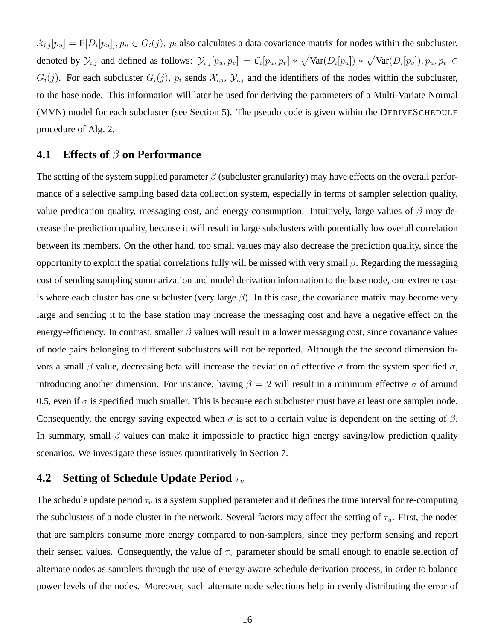$\mathcal{X}_{i,j}[p_u] = E[D_i[p_u]], p_u \in G_i(j)$ .  $p_i$  also calculates a data covariance matrix for nodes within the subcluster, denoted by  $\mathcal{Y}_{i,j}$  and defined as follows:  $\mathcal{Y}_{i,j}[p_u, p_v] = C_i[p_u, p_v] * \sqrt{\text{Var}(D_i[p_u])} * \sqrt{\text{Var}(D_i[p_v])}$ ,  $p_u, p_v \in$  $G_i(j)$ . For each subcluster  $G_i(j)$ ,  $p_i$  sends  $\mathcal{X}_{i,j}$ ,  $\mathcal{Y}_{i,j}$  and the identifiers of the nodes within the subcluster, to the base node. This information will later be used for deriving the parameters of a Multi-Variate Normal (MVN) model for each subcluster (see Section 5). The pseudo code is given within the DERIVESCHEDULE procedure of Alg. 2.

### **4.1 Effects of** β **on Performance**

The setting of the system supplied parameter  $\beta$  (subcluster granularity) may have effects on the overall performance of a selective sampling based data collection system, especially in terms of sampler selection quality, value predication quality, messaging cost, and energy consumption. Intuitively, large values of  $\beta$  may decrease the prediction quality, because it will result in large subclusters with potentially low overall correlation between its members. On the other hand, too small values may also decrease the prediction quality, since the opportunity to exploit the spatial correlations fully will be missed with very small  $\beta$ . Regarding the messaging cost of sending sampling summarization and model derivation information to the base node, one extreme case is where each cluster has one subcluster (very large  $\beta$ ). In this case, the covariance matrix may become very large and sending it to the base station may increase the messaging cost and have a negative effect on the energy-efficiency. In contrast, smaller  $\beta$  values will result in a lower messaging cost, since covariance values of node pairs belonging to different subclusters will not be reported. Although the the second dimension favors a small β value, decreasing beta will increase the deviation of effective  $\sigma$  from the system specified  $\sigma$ , introducing another dimension. For instance, having  $\beta = 2$  will result in a minimum effective  $\sigma$  of around 0.5, even if  $\sigma$  is specified much smaller. This is because each subcluster must have at least one sampler node. Consequently, the energy saving expected when  $\sigma$  is set to a certain value is dependent on the setting of  $\beta$ . In summary, small  $\beta$  values can make it impossible to practice high energy saving/low prediction quality scenarios. We investigate these issues quantitatively in Section 7.

### **4.2 Setting of Schedule Update Period**  $τ_u$

The schedule update period  $\tau_u$  is a system supplied parameter and it defines the time interval for re-computing the subclusters of a node cluster in the network. Several factors may affect the setting of  $\tau_u$ . First, the nodes that are samplers consume more energy compared to non-samplers, since they perform sensing and report their sensed values. Consequently, the value of  $\tau_u$  parameter should be small enough to enable selection of alternate nodes as samplers through the use of energy-aware schedule derivation process, in order to balance power levels of the nodes. Moreover, such alternate node selections help in evenly distributing the error of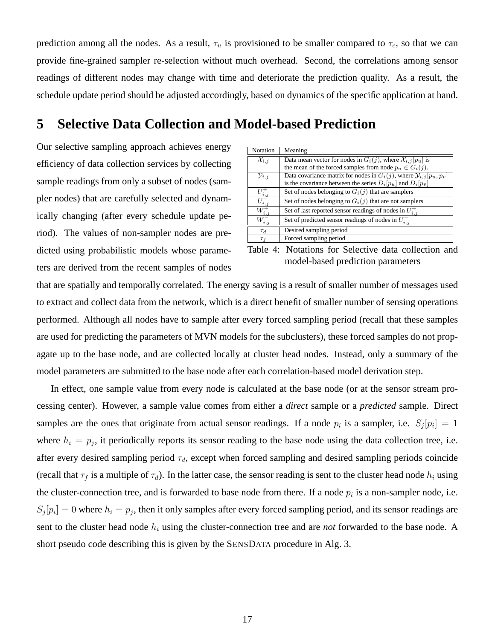prediction among all the nodes. As a result,  $\tau_u$  is provisioned to be smaller compared to  $\tau_c$ , so that we can provide fine-grained sampler re-selection without much overhead. Second, the correlations among sensor readings of different nodes may change with time and deteriorate the prediction quality. As a result, the schedule update period should be adjusted accordingly, based on dynamics of the specific application at hand.

### **5 Selective Data Collection and Model-based Prediction**

Our selective sampling approach achieves energy efficiency of data collection services by collecting sample readings from only a subset of nodes (sampler nodes) that are carefully selected and dynamically changing (after every schedule update period). The values of non-sampler nodes are predicted using probabilistic models whose parameters are derived from the recent samples of nodes

| Notation                                 | Meaning                                                                            |  |  |
|------------------------------------------|------------------------------------------------------------------------------------|--|--|
| $\overline{\mathcal{X}_{i,j}}$           | Data mean vector for nodes in $G_i(j)$ , where $\mathcal{X}_{i,j}[p_u]$ is         |  |  |
|                                          | the mean of the forced samples from node $p_u \in G_i(j)$ .                        |  |  |
| $y_{i,j}$                                | Data covariance matrix for nodes in $G_i(j)$ , where $\mathcal{Y}_{i,j}[p_u, p_v]$ |  |  |
|                                          | is the covariance between the series $D_i[p_u]$ and $D_i[p_v]$                     |  |  |
| $U^+_{i,j}$                              | Set of nodes belonging to $G_i(j)$ that are samplers                               |  |  |
|                                          | Set of nodes belonging to $G_i(j)$ that are not samplers                           |  |  |
| $\overline{\frac{U^-_{i,j}}{W^+_{i,j}}}$ | Set of last reported sensor readings of nodes in $U_{i,j}^{+}$                     |  |  |
| $W_{i,j}^-$                              | Set of predicted sensor readings of nodes in $U_{i,j}^-$                           |  |  |
| $\tau_d$                                 | Desired sampling period                                                            |  |  |
| $\tau_f$                                 | Forced sampling period                                                             |  |  |

Table 4: Notations for Selective data collection and model-based prediction parameters

that are spatially and temporally correlated. The energy saving is a result of smaller number of messages used to extract and collect data from the network, which is a direct benefit of smaller number of sensing operations performed. Although all nodes have to sample after every forced sampling period (recall that these samples are used for predicting the parameters of MVN models for the subclusters), these forced samples do not propagate up to the base node, and are collected locally at cluster head nodes. Instead, only a summary of the model parameters are submitted to the base node after each correlation-based model derivation step.

In effect, one sample value from every node is calculated at the base node (or at the sensor stream processing center). However, a sample value comes from either a *direct* sample or a *predicted* sample. Direct samples are the ones that originate from actual sensor readings. If a node  $p_i$  is a sampler, i.e.  $S_j[p_i] = 1$ where  $h_i = p_j$ , it periodically reports its sensor reading to the base node using the data collection tree, i.e. after every desired sampling period  $\tau_d$ , except when forced sampling and desired sampling periods coincide (recall that  $\tau_f$  is a multiple of  $\tau_d$ ). In the latter case, the sensor reading is sent to the cluster head node  $h_i$  using the cluster-connection tree, and is forwarded to base node from there. If a node  $p_i$  is a non-sampler node, i.e.  $S_j[p_i] = 0$  where  $h_i = p_j$ , then it only samples after every forced sampling period, and its sensor readings are sent to the cluster head node  $h_i$  using the cluster-connection tree and are *not* forwarded to the base node. A short pseudo code describing this is given by the SENSDATA procedure in Alg. 3.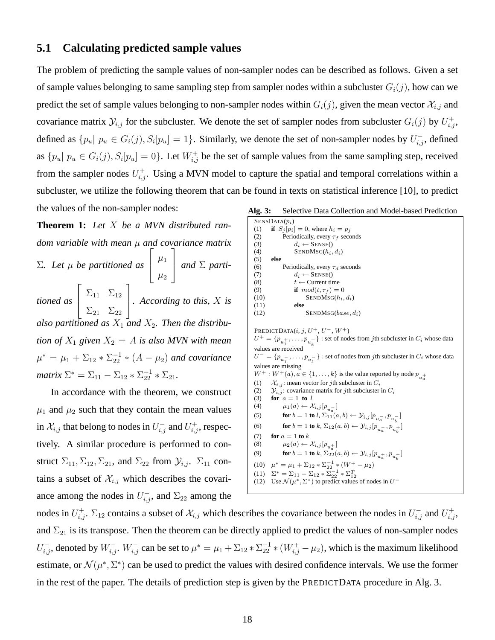#### **5.1 Calculating predicted sample values**

The problem of predicting the sample values of non-sampler nodes can be described as follows. Given a set of sample values belonging to same sampling step from sampler nodes within a subcluster  $G_i(j)$ , how can we predict the set of sample values belonging to non-sampler nodes within  $G_i(j)$ , given the mean vector  $\mathcal{X}_{i,j}$  and covariance matrix  $\mathcal{Y}_{i,j}$  for the subcluster. We denote the set of sampler nodes from subcluster  $G_i(j)$  by  $U_{i,j}^+$ , defined as  $\{p_u | p_u \in G_i(j), S_i[p_u] = 1\}$ . Similarly, we denote the set of non-sampler nodes by  $U_{i,j}^-$ , defined as  $\{p_u | p_u \in G_i(j), S_i[p_u] = 0\}$ . Let  $W_{i,j}^+$  be the set of sample values from the same sampling step, received from the sampler nodes  $U_{i,j}^+$ . Using a MVN model to capture the spatial and temporal correlations within a subcluster, we utilize the following theorem that can be found in texts on statistical inference [10], to predict the values of the non-sampler nodes:

**Theorem 1:** *Let* X *be a MVN distributed random variable with mean* µ *and covariance matrix* Σ*. Let* µ *be partitioned as*  $\sqrt{ }$  $\overline{1}$  $\mu_1$  $\mu_2$ 1 *and* <sup>Σ</sup> *partitioned as*  $\sqrt{ }$  $\overline{1}$  $\Sigma_{11}$   $\Sigma_{12}$  $\Sigma_{21}$   $\Sigma_{22}$ 1 *. According to this,* <sup>X</sup> *is* also partitioned as  $X_1$  and  $X_2$ . Then the distribu*tion of*  $X_1$  *given*  $X_2 = A$  *is also MVN with mean*  $\mu^* = \mu_1 + \Sigma_{12} * \Sigma_{22}^{-1} * (A - \mu_2)$  *and covariance matrix*  $\Sigma^* = \Sigma_{11} - \Sigma_{12} * \Sigma_{22}^{-1} * \Sigma_{21}$ .

In accordance with the theorem, we construct  $\mu_1$  and  $\mu_2$  such that they contain the mean values in  $\mathcal{X}_{i,j}$  that belong to nodes in  $U_{i,j}^-$  and  $U_{i,j}^+$ , respectively. A similar procedure is performed to construct  $\Sigma_{11}, \Sigma_{12}, \Sigma_{21}$ , and  $\Sigma_{22}$  from  $\mathcal{Y}_{i,j}$ .  $\Sigma_{11}$  contains a subset of  $\mathcal{X}_{i,j}$  which describes the covariance among the nodes in  $U_{i,j}^-$ , and  $\Sigma_{22}$  among the

| Alg. 3: |  | Selective Data Collection and Model-based Prediction |  |  |  |
|---------|--|------------------------------------------------------|--|--|--|
|---------|--|------------------------------------------------------|--|--|--|

 $SENSDATA(p_i)$ (1) **if**  $S_j[p_i] = 0$ , where  $h_i = p_j$ (2) Periodically, every  $\tau_f$  seconds<br>(3)  $d_i \leftarrow$  SENSE() (3)  $d_i \leftarrow$  SENSE()<br>(4) SENDMSG( $h_i$ ,  $SENDMSG(h_i, d_i)$ (5) **else** (6) Periodically, every  $\tau_d$  seconds<br>(7)  $d_i \leftarrow$  SENSE() (7)  $d_i \leftarrow$  SENSE()<br>(8)  $t \leftarrow$  Current tin  $t \leftarrow$  Current time (9) **if**  $mod(t, \tau_f) = 0$ <br>(10) **SENDMSG(h<sub>i</sub>,**  $\text{SENDMSG}(h_i, d_i)$ else  $(11)$ (12) SENDMSG( $base, d_i$ ) PREDICTDATA $(i, j, U^+, U^-, W^+)$  $U^+ = \{p_{u_1^+}, \ldots, p_{u_k^+}\}$  : set of nodes from *j*th subcluster in  $C_i$  whose data values are received  $U^- = \{p_{u_1^-}, \ldots, p_{u_l^-}\}\;$ : set of nodes from *j*th subcluster in  $C_i$  whose data values are missing  $W^+ : W^+(a), a \in \{1, \ldots, k\}$  is the value reported by node  $p_{u_a^+}$ (1)  $\mathcal{X}_{i,j}$ : mean vector for *j*th subcluster in  $C_i$ <br>(2)  $\mathcal{Y}_{i,j}$ : covariance matrix for *j*th subcluster  $(y_{i,j})$ : covariance matrix for jth subcluster in  $C_i$ (3) **for**  $a = 1$  **to** l (4)  $\mu_1(a) \leftarrow \mathcal{X}_{i,j}[p_{u_a}].$ (5) **for**  $b = 1$  **to**  $l$ ,  $\Sigma_{11}(a, b) \leftarrow \mathcal{Y}_{i,j} [p_{u_a^-}, p_{u_b^-}]$ (6) **for**  $b = 1$  **to**  $k$ ,  $\Sigma_{12}(a, b) \leftarrow \mathcal{Y}_{i,j} [p_{u_a}, p_{u_b}+]$ (7) **for**  $a = 1$  **to**  $k$ (8)  $\mu_2(a) \leftarrow \mathcal{X}_{i,j}[p_{u_a^+}]$ (9) **for**  $b = 1$  **to**  $k$ ,  $\Sigma_{22}(a, b) \leftarrow \mathcal{Y}_{i,j} [p_{u_a^+}, p_{u_b^+}]$ (10)  $\mu^* = \mu_1 + \Sigma_{12} * \Sigma_{22}^{-1} * (W^+ - \mu_2)$ (11)  $\Sigma^* = \Sigma_{11} - \Sigma_{12} * \Sigma_{22}^{-1} * \Sigma_{12}^T$ <br>(12) Use  $\mathcal{N}(\mu^*, \Sigma^*)$  to predict values of nodes in  $U^-$ 

nodes in  $U_{i,j}^+$ .  $\Sigma_{12}$  contains a subset of  $\mathcal{X}_{i,j}$  which describes the covariance between the nodes in  $U_{i,j}^-$  and  $U_{i,j}^+$ , and  $\Sigma_{21}$  is its transpose. Then the theorem can be directly applied to predict the values of non-sampler nodes  $U_{i,j}^-$ , denoted by  $W_{i,j}^-$ .  $W_{i,j}^-$  can be set to  $\mu^* = \mu_1 + \Sigma_{12} * \Sigma_{22}^{-1} * (W_{i,j}^+ - \mu_2)$ , which is the maximum likelihood estimate, or  $\mathcal{N}(\mu^*, \Sigma^*)$  can be used to predict the values with desired confidence intervals. We use the former in the rest of the paper. The details of prediction step is given by the PREDICTDATA procedure in Alg. 3.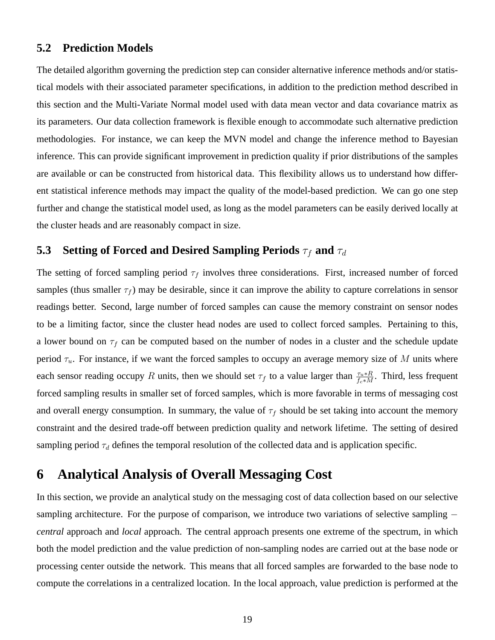#### **5.2 Prediction Models**

The detailed algorithm governing the prediction step can consider alternative inference methods and/or statistical models with their associated parameter specifications, in addition to the prediction method described in this section and the Multi-Variate Normal model used with data mean vector and data covariance matrix as its parameters. Our data collection framework is flexible enough to accommodate such alternative prediction methodologies. For instance, we can keep the MVN model and change the inference method to Bayesian inference. This can provide significant improvement in prediction quality if prior distributions of the samples are available or can be constructed from historical data. This flexibility allows us to understand how different statistical inference methods may impact the quality of the model-based prediction. We can go one step further and change the statistical model used, as long as the model parameters can be easily derived locally at the cluster heads and are reasonably compact in size.

## **5.3** Setting of Forced and Desired Sampling Periods  $\tau_f$  and  $\tau_d$

The setting of forced sampling period  $\tau_f$  involves three considerations. First, increased number of forced samples (thus smaller  $\tau_f$ ) may be desirable, since it can improve the ability to capture correlations in sensor readings better. Second, large number of forced samples can cause the memory constraint on sensor nodes to be a limiting factor, since the cluster head nodes are used to collect forced samples. Pertaining to this, a lower bound on  $\tau_f$  can be computed based on the number of nodes in a cluster and the schedule update period  $\tau_u$ . For instance, if we want the forced samples to occupy an average memory size of M units where each sensor reading occupy R units, then we should set  $\tau_f$  to a value larger than  $\frac{\tau_u * R}{f_c * M}$ . Third, less frequent forced sampling results in smaller set of forced samples, which is more favorable in terms of messaging cost and overall energy consumption. In summary, the value of  $\tau_f$  should be set taking into account the memory constraint and the desired trade-off between prediction quality and network lifetime. The setting of desired sampling period  $\tau_d$  defines the temporal resolution of the collected data and is application specific.

### **6 Analytical Analysis of Overall Messaging Cost**

In this section, we provide an analytical study on the messaging cost of data collection based on our selective sampling architecture. For the purpose of comparison, we introduce two variations of selective sampling – *central* approach and *local* approach. The central approach presents one extreme of the spectrum, in which both the model prediction and the value prediction of non-sampling nodes are carried out at the base node or processing center outside the network. This means that all forced samples are forwarded to the base node to compute the correlations in a centralized location. In the local approach, value prediction is performed at the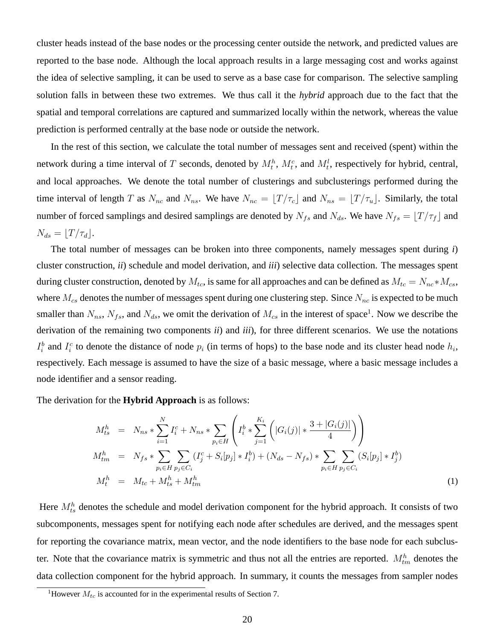cluster heads instead of the base nodes or the processing center outside the network, and predicted values are reported to the base node. Although the local approach results in a large messaging cost and works against the idea of selective sampling, it can be used to serve as a base case for comparison. The selective sampling solution falls in between these two extremes. We thus call it the *hybrid* approach due to the fact that the spatial and temporal correlations are captured and summarized locally within the network, whereas the value prediction is performed centrally at the base node or outside the network.

In the rest of this section, we calculate the total number of messages sent and received (spent) within the network during a time interval of T seconds, denoted by  $M_t^h$ ,  $M_t^c$ , and  $M_t^l$ , respectively for hybrid, central, and local approaches. We denote the total number of clusterings and subclusterings performed during the time interval of length T as  $N_{nc}$  and  $N_{ns}$ . We have  $N_{nc} = \lfloor T/\tau_c \rfloor$  and  $N_{ns} = \lfloor T/\tau_u \rfloor$ . Similarly, the total number of forced samplings and desired samplings are denoted by  $N_{fs}$  and  $N_{ds}$ . We have  $N_{fs} = \lfloor T/\tau_f \rfloor$  and  $N_{ds} = |T/\tau_d|$ .

The total number of messages can be broken into three components, namely messages spent during *i*) cluster construction, *ii*) schedule and model derivation, and *iii*) selective data collection. The messages spent during cluster construction, denoted by  $M_{tc}$ , is same for all approaches and can be defined as  $M_{tc} = N_{nc} * M_{cs}$ , where  $M_{cs}$  denotes the number of messages spent during one clustering step. Since  $N_{nc}$  is expected to be much smaller than  $N_{ns}$ ,  $N_{fs}$ , and  $N_{ds}$ , we omit the derivation of  $M_{cs}$  in the interest of space<sup>1</sup>. Now we describe the derivation of the remaining two components *ii*) and *iii*), for three different scenarios. We use the notations  $I_i^b$  and  $I_i^c$  to denote the distance of node  $p_i$  (in terms of hops) to the base node and its cluster head node  $h_i$ , respectively. Each message is assumed to have the size of a basic message, where a basic message includes a node identifier and a sensor reading.

The derivation for the **Hybrid Approach** is as follows:

$$
M_{ts}^{h} = N_{ns} * \sum_{i=1}^{N} I_{i}^{c} + N_{ns} * \sum_{p_{i} \in H} \left( I_{i}^{b} * \sum_{j=1}^{K_{i}} \left( |G_{i}(j)| * \frac{3 + |G_{i}(j)|}{4} \right) \right)
$$
  
\n
$$
M_{tm}^{h} = N_{fs} * \sum_{p_{i} \in H} \sum_{p_{j} \in C_{i}} (I_{j}^{c} + S_{i}[p_{j}] * I_{i}^{b}) + (N_{ds} - N_{fs}) * \sum_{p_{i} \in H} \sum_{p_{j} \in C_{i}} (S_{i}[p_{j}] * I_{j}^{b})
$$
  
\n
$$
M_{t}^{h} = M_{tc} + M_{ts}^{h} + M_{tm}^{h}
$$
\n(1)

Here  $M_{ts}^h$  denotes the schedule and model derivation component for the hybrid approach. It consists of two subcomponents, messages spent for notifying each node after schedules are derived, and the messages spent for reporting the covariance matrix, mean vector, and the node identifiers to the base node for each subcluster. Note that the covariance matrix is symmetric and thus not all the entries are reported.  $M_{tm}^h$  denotes the data collection component for the hybrid approach. In summary, it counts the messages from sampler nodes

<sup>&</sup>lt;sup>1</sup>However  $M_{tc}$  is accounted for in the experimental results of Section 7.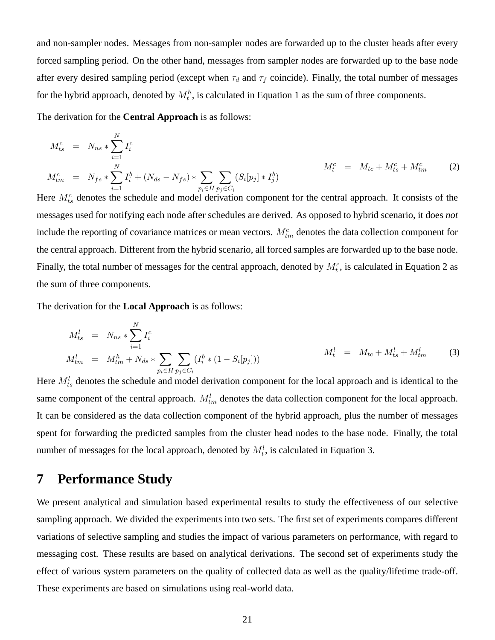and non-sampler nodes. Messages from non-sampler nodes are forwarded up to the cluster heads after every forced sampling period. On the other hand, messages from sampler nodes are forwarded up to the base node after every desired sampling period (except when  $\tau_d$  and  $\tau_f$  coincide). Finally, the total number of messages for the hybrid approach, denoted by  $M_t^h$ , is calculated in Equation 1 as the sum of three components.

The derivation for the **Central Approach** is as follows:

$$
M_{ts}^c = N_{ns} * \sum_{i=1}^{N} I_i^c
$$
  
\n
$$
M_{tm}^c = N_{fs} * \sum_{i=1}^{N} I_i^b + (N_{ds} - N_{fs}) * \sum_{p_i \in H} \sum_{p_j \in C_i} (S_i[p_j] * I_j^b)
$$
  
\n
$$
M_t^c = M_{tc} + M_{ts}^c + M_{tm}^c
$$
\n(2)

Here  $M_{ts}^c$  denotes the schedule and model derivation component for the central approach. It consists of the messages used for notifying each node after schedules are derived. As opposed to hybrid scenario, it does *not* include the reporting of covariance matrices or mean vectors.  $M_{tm}^c$  denotes the data collection component for the central approach. Different from the hybrid scenario, all forced samples are forwarded up to the base node. Finally, the total number of messages for the central approach, denoted by  $M_t^c$ , is calculated in Equation 2 as the sum of three components.

The derivation for the **Local Approach** is as follows:

$$
M_{ts}^l = N_{ns} * \sum_{i=1}^N I_i^c
$$
  
\n
$$
M_{tm}^l = M_{tm}^h + N_{ds} * \sum_{p_i \in H} \sum_{p_j \in C_i} (I_i^b * (1 - S_i[p_j]))
$$
  
\n
$$
M_t^l = M_{tc} + M_{ts}^l + M_{tm}^l
$$
\n(3)

Here  $M_{ts}^l$  denotes the schedule and model derivation component for the local approach and is identical to the same component of the central approach.  $M_{tm}^l$  denotes the data collection component for the local approach. It can be considered as the data collection component of the hybrid approach, plus the number of messages spent for forwarding the predicted samples from the cluster head nodes to the base node. Finally, the total number of messages for the local approach, denoted by  $M_t^l$ , is calculated in Equation 3.

## **7 Performance Study**

We present analytical and simulation based experimental results to study the effectiveness of our selective sampling approach. We divided the experiments into two sets. The first set of experiments compares different variations of selective sampling and studies the impact of various parameters on performance, with regard to messaging cost. These results are based on analytical derivations. The second set of experiments study the effect of various system parameters on the quality of collected data as well as the quality/lifetime trade-off. These experiments are based on simulations using real-world data.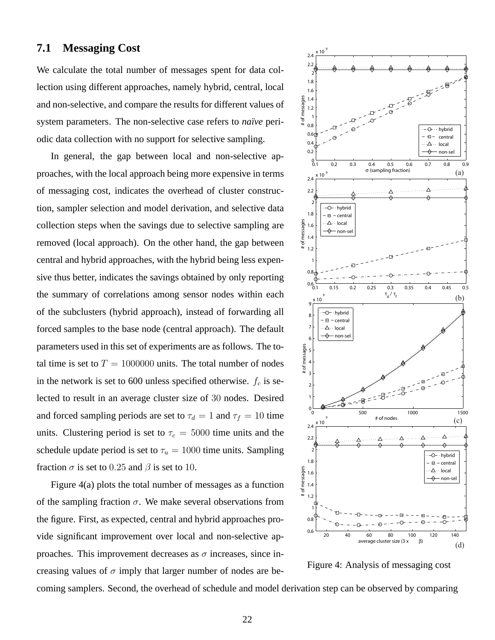#### **7.1 Messaging Cost**

We calculate the total number of messages spent for data collection using different approaches, namely hybrid, central, local and non-selective, and compare the results for different values of system parameters. The non-selective case refers to *naïve* periodic data collection with no support for selective sampling.

In general, the gap between local and non-selective approaches, with the local approach being more expensive in terms of messaging cost, indicates the overhead of cluster construction, sampler selection and model derivation, and selective data collection steps when the savings due to selective sampling are removed (local approach). On the other hand, the gap between central and hybrid approaches, with the hybrid being less expensive thus better, indicates the savings obtained by only reporting the summary of correlations among sensor nodes within each of the subclusters (hybrid approach), instead of forwarding all forced samples to the base node (central approach). The default parameters used in this set of experiments are as follows. The total time is set to  $T = 1000000$  units. The total number of nodes in the network is set to 600 unless specified otherwise.  $f_c$  is selected to result in an average cluster size of 30 nodes. Desired and forced sampling periods are set to  $\tau_d = 1$  and  $\tau_f = 10$  time units. Clustering period is set to  $\tau_c = 5000$  time units and the schedule update period is set to  $\tau_u = 1000$  time units. Sampling fraction  $\sigma$  is set to 0.25 and  $\beta$  is set to 10.

Figure 4(a) plots the total number of messages as a function of the sampling fraction  $\sigma$ . We make several observations from the figure. First, as expected, central and hybrid approaches provide significant improvement over local and non-selective approaches. This improvement decreases as  $\sigma$  increases, since increasing values of  $\sigma$  imply that larger number of nodes are be-



Figure 4: Analysis of messaging cost

coming samplers. Second, the overhead of schedule and model derivation step can be observed by comparing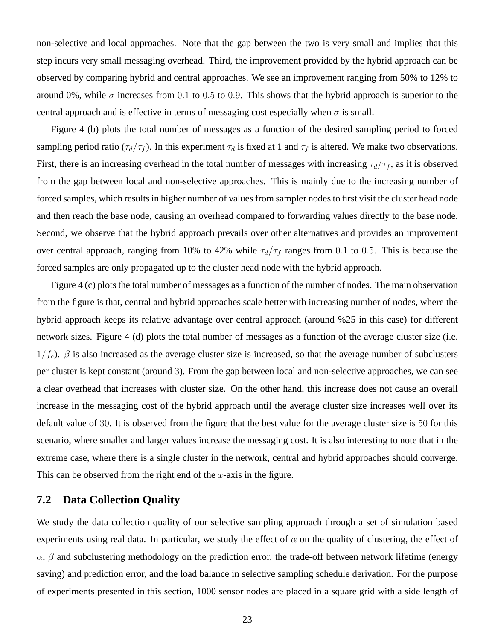non-selective and local approaches. Note that the gap between the two is very small and implies that this step incurs very small messaging overhead. Third, the improvement provided by the hybrid approach can be observed by comparing hybrid and central approaches. We see an improvement ranging from 50% to 12% to around 0%, while  $\sigma$  increases from 0.1 to 0.5 to 0.9. This shows that the hybrid approach is superior to the central approach and is effective in terms of messaging cost especially when  $\sigma$  is small.

Figure 4 (b) plots the total number of messages as a function of the desired sampling period to forced sampling period ratio ( $\tau_d/\tau_f$ ). In this experiment  $\tau_d$  is fixed at 1 and  $\tau_f$  is altered. We make two observations. First, there is an increasing overhead in the total number of messages with increasing  $\tau_d/\tau_f$ , as it is observed from the gap between local and non-selective approaches. This is mainly due to the increasing number of forced samples, which results in higher number of values from sampler nodes to first visit the cluster head node and then reach the base node, causing an overhead compared to forwarding values directly to the base node. Second, we observe that the hybrid approach prevails over other alternatives and provides an improvement over central approach, ranging from 10% to 42% while  $\tau_d/\tau_f$  ranges from 0.1 to 0.5. This is because the forced samples are only propagated up to the cluster head node with the hybrid approach.

Figure 4 (c) plots the total number of messages as a function of the number of nodes. The main observation from the figure is that, central and hybrid approaches scale better with increasing number of nodes, where the hybrid approach keeps its relative advantage over central approach (around %25 in this case) for different network sizes. Figure 4 (d) plots the total number of messages as a function of the average cluster size (i.e.  $1/f_c$ ).  $\beta$  is also increased as the average cluster size is increased, so that the average number of subclusters per cluster is kept constant (around 3). From the gap between local and non-selective approaches, we can see a clear overhead that increases with cluster size. On the other hand, this increase does not cause an overall increase in the messaging cost of the hybrid approach until the average cluster size increases well over its default value of 30. It is observed from the figure that the best value for the average cluster size is 50 for this scenario, where smaller and larger values increase the messaging cost. It is also interesting to note that in the extreme case, where there is a single cluster in the network, central and hybrid approaches should converge. This can be observed from the right end of the  $x$ -axis in the figure.

### **7.2 Data Collection Quality**

We study the data collection quality of our selective sampling approach through a set of simulation based experiments using real data. In particular, we study the effect of  $\alpha$  on the quality of clustering, the effect of  $\alpha$ ,  $\beta$  and subclustering methodology on the prediction error, the trade-off between network lifetime (energy saving) and prediction error, and the load balance in selective sampling schedule derivation. For the purpose of experiments presented in this section, 1000 sensor nodes are placed in a square grid with a side length of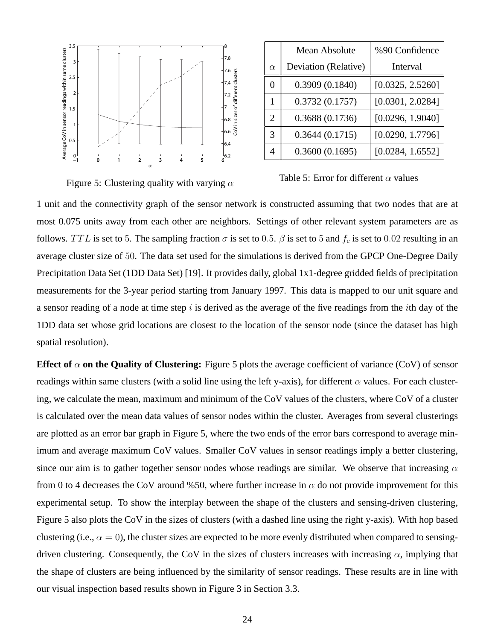

Figure 5: Clustering quality with varying  $\alpha$ 

|               | Mean Absolute        | %90 Confidence   |  |
|---------------|----------------------|------------------|--|
| $\alpha$      | Deviation (Relative) | Interval         |  |
| 0             | 0.3909(0.1840)       | [0.0325, 2.5260] |  |
|               | 0.3732(0.1757)       | [0.0301, 2.0284] |  |
| 2             | 0.3688(0.1736)       | [0.0296, 1.9040] |  |
| $\mathcal{R}$ | 0.3644(0.1715)       | [0.0290, 1.7796] |  |
|               | 0.3600(0.1695)       | [0.0284, 1.6552] |  |

Table 5: Error for different  $\alpha$  values

1 unit and the connectivity graph of the sensor network is constructed assuming that two nodes that are at most 0.075 units away from each other are neighbors. Settings of other relevant system parameters are as follows. TTL is set to 5. The sampling fraction  $\sigma$  is set to 0.5.  $\beta$  is set to 5 and  $f_c$  is set to 0.02 resulting in an average cluster size of 50. The data set used for the simulations is derived from the GPCP One-Degree Daily Precipitation Data Set (1DD Data Set) [19]. It provides daily, global 1x1-degree gridded fields of precipitation measurements for the 3-year period starting from January 1997. This data is mapped to our unit square and a sensor reading of a node at time step  $i$  is derived as the average of the five readings from the *i*th day of the 1DD data set whose grid locations are closest to the location of the sensor node (since the dataset has high spatial resolution).

**Effect of**  $\alpha$  **on the Quality of Clustering:** Figure 5 plots the average coefficient of variance (CoV) of sensor readings within same clusters (with a solid line using the left y-axis), for different  $\alpha$  values. For each clustering, we calculate the mean, maximum and minimum of the CoV values of the clusters, where CoV of a cluster is calculated over the mean data values of sensor nodes within the cluster. Averages from several clusterings are plotted as an error bar graph in Figure 5, where the two ends of the error bars correspond to average minimum and average maximum CoV values. Smaller CoV values in sensor readings imply a better clustering, since our aim is to gather together sensor nodes whose readings are similar. We observe that increasing  $\alpha$ from 0 to 4 decreases the CoV around %50, where further increase in  $\alpha$  do not provide improvement for this experimental setup. To show the interplay between the shape of the clusters and sensing-driven clustering, Figure 5 also plots the CoV in the sizes of clusters (with a dashed line using the right y-axis). With hop based clustering (i.e.,  $\alpha = 0$ ), the cluster sizes are expected to be more evenly distributed when compared to sensingdriven clustering. Consequently, the CoV in the sizes of clusters increases with increasing  $\alpha$ , implying that the shape of clusters are being influenced by the similarity of sensor readings. These results are in line with our visual inspection based results shown in Figure 3 in Section 3.3.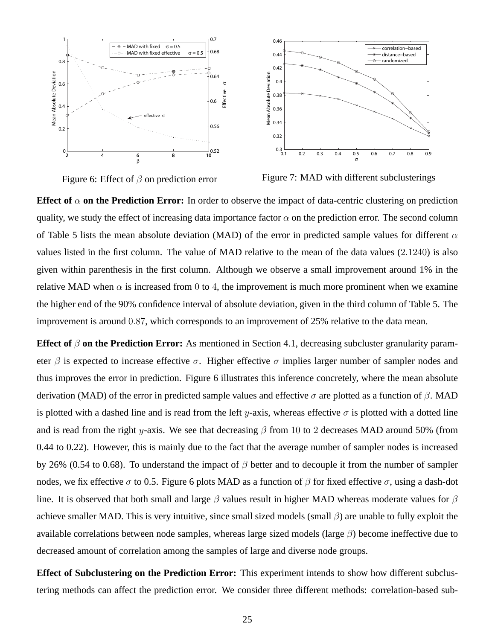



Figure 7: MAD with different subclusterings

**Effect of**  $\alpha$  **on the Prediction Error:** In order to observe the impact of data-centric clustering on prediction quality, we study the effect of increasing data importance factor  $\alpha$  on the prediction error. The second column of Table 5 lists the mean absolute deviation (MAD) of the error in predicted sample values for different  $\alpha$ values listed in the first column. The value of MAD relative to the mean of the data values (2.1240) is also given within parenthesis in the first column. Although we observe a small improvement around 1% in the relative MAD when  $\alpha$  is increased from 0 to 4, the improvement is much more prominent when we examine the higher end of the 90% confidence interval of absolute deviation, given in the third column of Table 5. The improvement is around 0.87, which corresponds to an improvement of 25% relative to the data mean.

**Effect of**  $\beta$  **on the Prediction Error:** As mentioned in Section 4.1, decreasing subcluster granularity parameter  $\beta$  is expected to increase effective  $\sigma$ . Higher effective  $\sigma$  implies larger number of sampler nodes and thus improves the error in prediction. Figure 6 illustrates this inference concretely, where the mean absolute derivation (MAD) of the error in predicted sample values and effective  $\sigma$  are plotted as a function of  $\beta$ . MAD is plotted with a dashed line and is read from the left y-axis, whereas effective  $\sigma$  is plotted with a dotted line and is read from the right y-axis. We see that decreasing  $\beta$  from 10 to 2 decreases MAD around 50% (from 0.44 to 0.22). However, this is mainly due to the fact that the average number of sampler nodes is increased by 26% (0.54 to 0.68). To understand the impact of  $\beta$  better and to decouple it from the number of sampler nodes, we fix effective  $\sigma$  to 0.5. Figure 6 plots MAD as a function of  $\beta$  for fixed effective  $\sigma$ , using a dash-dot line. It is observed that both small and large  $\beta$  values result in higher MAD whereas moderate values for  $\beta$ achieve smaller MAD. This is very intuitive, since small sized models (small  $\beta$ ) are unable to fully exploit the available correlations between node samples, whereas large sized models (large  $\beta$ ) become ineffective due to decreased amount of correlation among the samples of large and diverse node groups.

**Effect of Subclustering on the Prediction Error:** This experiment intends to show how different subclustering methods can affect the prediction error. We consider three different methods: correlation-based sub-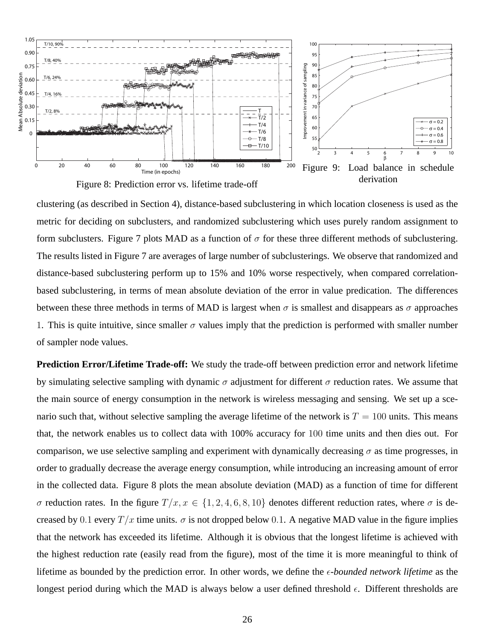

clustering (as described in Section 4), distance-based subclustering in which location closeness is used as the metric for deciding on subclusters, and randomized subclustering which uses purely random assignment to form subclusters. Figure 7 plots MAD as a function of  $\sigma$  for these three different methods of subclustering. The results listed in Figure 7 are averages of large number of subclusterings. We observe that randomized and distance-based subclustering perform up to 15% and 10% worse respectively, when compared correlationbased subclustering, in terms of mean absolute deviation of the error in value predication. The differences between these three methods in terms of MAD is largest when  $\sigma$  is smallest and disappears as  $\sigma$  approaches 1. This is quite intuitive, since smaller  $\sigma$  values imply that the prediction is performed with smaller number of sampler node values.

**Prediction Error/Lifetime Trade-off:** We study the trade-off between prediction error and network lifetime by simulating selective sampling with dynamic  $\sigma$  adjustment for different  $\sigma$  reduction rates. We assume that the main source of energy consumption in the network is wireless messaging and sensing. We set up a scenario such that, without selective sampling the average lifetime of the network is  $T = 100$  units. This means that, the network enables us to collect data with 100% accuracy for 100 time units and then dies out. For comparison, we use selective sampling and experiment with dynamically decreasing  $\sigma$  as time progresses, in order to gradually decrease the average energy consumption, while introducing an increasing amount of error in the collected data. Figure 8 plots the mean absolute deviation (MAD) as a function of time for different σ reduction rates. In the figure  $T/x, x \in \{1, 2, 4, 6, 8, 10\}$  denotes different reduction rates, where σ is decreased by 0.1 every  $T/x$  time units.  $\sigma$  is not dropped below 0.1. A negative MAD value in the figure implies that the network has exceeded its lifetime. Although it is obvious that the longest lifetime is achieved with the highest reduction rate (easily read from the figure), most of the time it is more meaningful to think of lifetime as bounded by the prediction error. In other words, we define the  $\epsilon$ -bounded network lifetime as the longest period during which the MAD is always below a user defined threshold  $\epsilon$ . Different thresholds are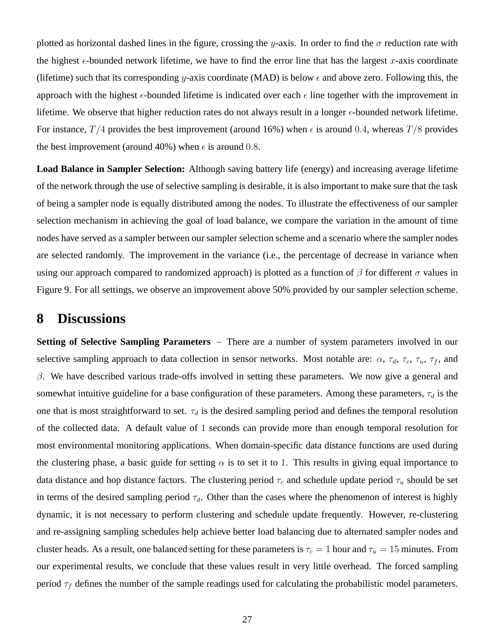plotted as horizontal dashed lines in the figure, crossing the y-axis. In order to find the  $\sigma$  reduction rate with the highest  $\epsilon$ -bounded network lifetime, we have to find the error line that has the largest x-axis coordinate (lifetime) such that its corresponding y-axis coordinate (MAD) is below  $\epsilon$  and above zero. Following this, the approach with the highest  $\epsilon$ -bounded lifetime is indicated over each  $\epsilon$  line together with the improvement in lifetime. We observe that higher reduction rates do not always result in a longer  $\epsilon$ -bounded network lifetime. For instance,  $T/4$  provides the best improvement (around 16%) when  $\epsilon$  is around 0.4, whereas  $T/8$  provides the best improvement (around 40%) when  $\epsilon$  is around 0.8.

**Load Balance in Sampler Selection:** Although saving battery life (energy) and increasing average lifetime of the network through the use of selective sampling is desirable, it is also important to make sure that the task of being a sampler node is equally distributed among the nodes. To illustrate the effectiveness of our sampler selection mechanism in achieving the goal of load balance, we compare the variation in the amount of time nodes have served as a sampler between our sampler selection scheme and a scenario where the sampler nodes are selected randomly. The improvement in the variance (i.e., the percentage of decrease in variance when using our approach compared to randomized approach) is plotted as a function of  $\beta$  for different  $\sigma$  values in Figure 9. For all settings, we observe an improvement above 50% provided by our sampler selection scheme.

### **8 Discussions**

Setting of Selective Sampling Parameters – There are a number of system parameters involved in our selective sampling approach to data collection in sensor networks. Most notable are:  $\alpha$ ,  $\tau_d$ ,  $\tau_c$ ,  $\tau_u$ ,  $\tau_f$ , and  $β$ . We have described various trade-offs involved in setting these parameters. We now give a general and somewhat intuitive guideline for a base configuration of these parameters. Among these parameters,  $\tau_d$  is the one that is most straightforward to set.  $\tau_d$  is the desired sampling period and defines the temporal resolution of the collected data. A default value of 1 seconds can provide more than enough temporal resolution for most environmental monitoring applications. When domain-specific data distance functions are used during the clustering phase, a basic guide for setting  $\alpha$  is to set it to 1. This results in giving equal importance to data distance and hop distance factors. The clustering period  $\tau_c$  and schedule update period  $\tau_u$  should be set in terms of the desired sampling period  $\tau_d$ . Other than the cases where the phenomenon of interest is highly dynamic, it is not necessary to perform clustering and schedule update frequently. However, re-clustering and re-assigning sampling schedules help achieve better load balancing due to alternated sampler nodes and cluster heads. As a result, one balanced setting for these parameters is  $\tau_c = 1$  hour and  $\tau_u = 15$  minutes. From our experimental results, we conclude that these values result in very little overhead. The forced sampling period  $\tau_f$  defines the number of the sample readings used for calculating the probabilistic model parameters.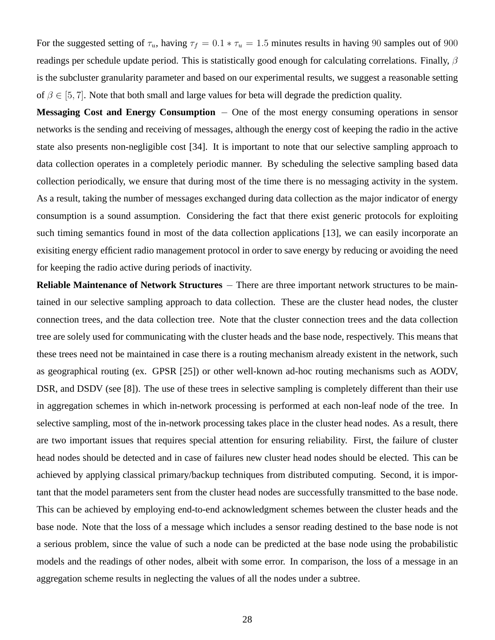For the suggested setting of  $\tau_u$ , having  $\tau_f = 0.1 * \tau_u = 1.5$  minutes results in having 90 samples out of 900 readings per schedule update period. This is statistically good enough for calculating correlations. Finally,  $\beta$ is the subcluster granularity parameter and based on our experimental results, we suggest a reasonable setting of  $\beta \in [5, 7]$ . Note that both small and large values for beta will degrade the prediction quality.

Messaging Cost and Energy Consumption − One of the most energy consuming operations in sensor networks is the sending and receiving of messages, although the energy cost of keeping the radio in the active state also presents non-negligible cost [34]. It is important to note that our selective sampling approach to data collection operates in a completely periodic manner. By scheduling the selective sampling based data collection periodically, we ensure that during most of the time there is no messaging activity in the system. As a result, taking the number of messages exchanged during data collection as the major indicator of energy consumption is a sound assumption. Considering the fact that there exist generic protocols for exploiting such timing semantics found in most of the data collection applications [13], we can easily incorporate an exisiting energy efficient radio management protocol in order to save energy by reducing or avoiding the need for keeping the radio active during periods of inactivity.

**Reliable Maintenance of Network Structures** – There are three important network structures to be maintained in our selective sampling approach to data collection. These are the cluster head nodes, the cluster connection trees, and the data collection tree. Note that the cluster connection trees and the data collection tree are solely used for communicating with the cluster heads and the base node, respectively. This means that these trees need not be maintained in case there is a routing mechanism already existent in the network, such as geographical routing (ex. GPSR [25]) or other well-known ad-hoc routing mechanisms such as AODV, DSR, and DSDV (see [8]). The use of these trees in selective sampling is completely different than their use in aggregation schemes in which in-network processing is performed at each non-leaf node of the tree. In selective sampling, most of the in-network processing takes place in the cluster head nodes. As a result, there are two important issues that requires special attention for ensuring reliability. First, the failure of cluster head nodes should be detected and in case of failures new cluster head nodes should be elected. This can be achieved by applying classical primary/backup techniques from distributed computing. Second, it is important that the model parameters sent from the cluster head nodes are successfully transmitted to the base node. This can be achieved by employing end-to-end acknowledgment schemes between the cluster heads and the base node. Note that the loss of a message which includes a sensor reading destined to the base node is not a serious problem, since the value of such a node can be predicted at the base node using the probabilistic models and the readings of other nodes, albeit with some error. In comparison, the loss of a message in an aggregation scheme results in neglecting the values of all the nodes under a subtree.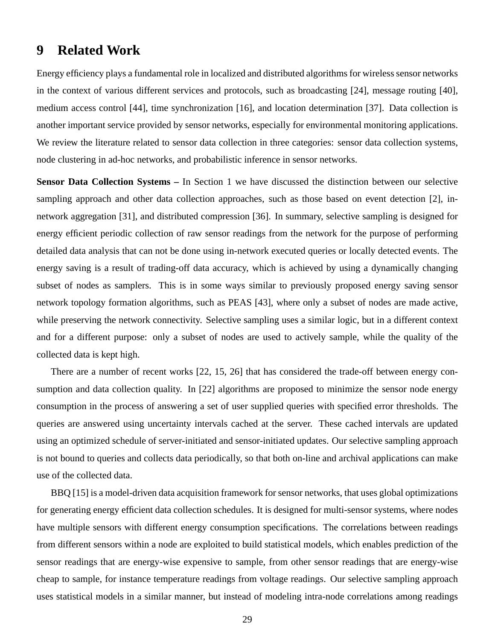### **9 Related Work**

Energy efficiency plays a fundamental role in localized and distributed algorithms for wireless sensor networks in the context of various different services and protocols, such as broadcasting [24], message routing [40], medium access control [44], time synchronization [16], and location determination [37]. Data collection is another important service provided by sensor networks, especially for environmental monitoring applications. We review the literature related to sensor data collection in three categories: sensor data collection systems, node clustering in ad-hoc networks, and probabilistic inference in sensor networks.

**Sensor Data Collection Systems –** In Section 1 we have discussed the distinction between our selective sampling approach and other data collection approaches, such as those based on event detection [2], innetwork aggregation [31], and distributed compression [36]. In summary, selective sampling is designed for energy efficient periodic collection of raw sensor readings from the network for the purpose of performing detailed data analysis that can not be done using in-network executed queries or locally detected events. The energy saving is a result of trading-off data accuracy, which is achieved by using a dynamically changing subset of nodes as samplers. This is in some ways similar to previously proposed energy saving sensor network topology formation algorithms, such as PEAS [43], where only a subset of nodes are made active, while preserving the network connectivity. Selective sampling uses a similar logic, but in a different context and for a different purpose: only a subset of nodes are used to actively sample, while the quality of the collected data is kept high.

There are a number of recent works [22, 15, 26] that has considered the trade-off between energy consumption and data collection quality. In [22] algorithms are proposed to minimize the sensor node energy consumption in the process of answering a set of user supplied queries with specified error thresholds. The queries are answered using uncertainty intervals cached at the server. These cached intervals are updated using an optimized schedule of server-initiated and sensor-initiated updates. Our selective sampling approach is not bound to queries and collects data periodically, so that both on-line and archival applications can make use of the collected data.

BBQ [15] is a model-driven data acquisition framework for sensor networks, that uses global optimizations for generating energy efficient data collection schedules. It is designed for multi-sensor systems, where nodes have multiple sensors with different energy consumption specifications. The correlations between readings from different sensors within a node are exploited to build statistical models, which enables prediction of the sensor readings that are energy-wise expensive to sample, from other sensor readings that are energy-wise cheap to sample, for instance temperature readings from voltage readings. Our selective sampling approach uses statistical models in a similar manner, but instead of modeling intra-node correlations among readings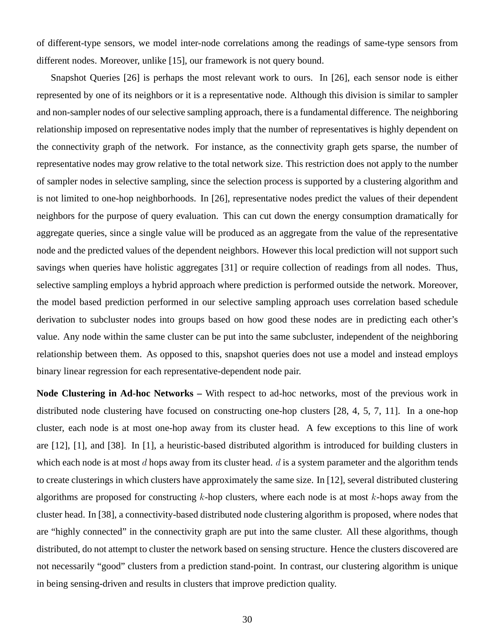of different-type sensors, we model inter-node correlations among the readings of same-type sensors from different nodes. Moreover, unlike [15], our framework is not query bound.

Snapshot Queries [26] is perhaps the most relevant work to ours. In [26], each sensor node is either represented by one of its neighbors or it is a representative node. Although this division is similar to sampler and non-sampler nodes of our selective sampling approach, there is a fundamental difference. The neighboring relationship imposed on representative nodes imply that the number of representatives is highly dependent on the connectivity graph of the network. For instance, as the connectivity graph gets sparse, the number of representative nodes may grow relative to the total network size. This restriction does not apply to the number of sampler nodes in selective sampling, since the selection process is supported by a clustering algorithm and is not limited to one-hop neighborhoods. In [26], representative nodes predict the values of their dependent neighbors for the purpose of query evaluation. This can cut down the energy consumption dramatically for aggregate queries, since a single value will be produced as an aggregate from the value of the representative node and the predicted values of the dependent neighbors. However this local prediction will not support such savings when queries have holistic aggregates [31] or require collection of readings from all nodes. Thus, selective sampling employs a hybrid approach where prediction is performed outside the network. Moreover, the model based prediction performed in our selective sampling approach uses correlation based schedule derivation to subcluster nodes into groups based on how good these nodes are in predicting each other's value. Any node within the same cluster can be put into the same subcluster, independent of the neighboring relationship between them. As opposed to this, snapshot queries does not use a model and instead employs binary linear regression for each representative-dependent node pair.

**Node Clustering in Ad-hoc Networks –** With respect to ad-hoc networks, most of the previous work in distributed node clustering have focused on constructing one-hop clusters [28, 4, 5, 7, 11]. In a one-hop cluster, each node is at most one-hop away from its cluster head. A few exceptions to this line of work are [12], [1], and [38]. In [1], a heuristic-based distributed algorithm is introduced for building clusters in which each node is at most  $d$  hops away from its cluster head.  $d$  is a system parameter and the algorithm tends to create clusterings in which clusters have approximately the same size. In [12], several distributed clustering algorithms are proposed for constructing  $k$ -hop clusters, where each node is at most  $k$ -hops away from the cluster head. In [38], a connectivity-based distributed node clustering algorithm is proposed, where nodes that are "highly connected" in the connectivity graph are put into the same cluster. All these algorithms, though distributed, do not attempt to cluster the network based on sensing structure. Hence the clusters discovered are not necessarily "good" clusters from a prediction stand-point. In contrast, our clustering algorithm is unique in being sensing-driven and results in clusters that improve prediction quality.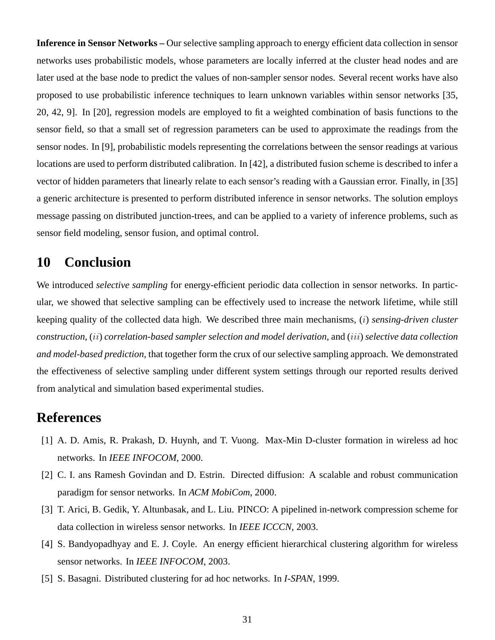**Inference in Sensor Networks –** Our selective sampling approach to energy efficient data collection in sensor networks uses probabilistic models, whose parameters are locally inferred at the cluster head nodes and are later used at the base node to predict the values of non-sampler sensor nodes. Several recent works have also proposed to use probabilistic inference techniques to learn unknown variables within sensor networks [35, 20, 42, 9]. In [20], regression models are employed to fit a weighted combination of basis functions to the sensor field, so that a small set of regression parameters can be used to approximate the readings from the sensor nodes. In [9], probabilistic models representing the correlations between the sensor readings at various locations are used to perform distributed calibration. In [42], a distributed fusion scheme is described to infer a vector of hidden parameters that linearly relate to each sensor's reading with a Gaussian error. Finally, in [35] a generic architecture is presented to perform distributed inference in sensor networks. The solution employs message passing on distributed junction-trees, and can be applied to a variety of inference problems, such as sensor field modeling, sensor fusion, and optimal control.

## **10 Conclusion**

We introduced *selective sampling* for energy-efficient periodic data collection in sensor networks. In particular, we showed that selective sampling can be effectively used to increase the network lifetime, while still keeping quality of the collected data high. We described three main mechanisms, (i) *sensing-driven cluster construction*, (ii) *correlation-based sampler selection and model derivation*, and (iii) *selective data collection and model-based prediction*, that together form the crux of our selective sampling approach. We demonstrated the effectiveness of selective sampling under different system settings through our reported results derived from analytical and simulation based experimental studies.

## **References**

- [1] A. D. Amis, R. Prakash, D. Huynh, and T. Vuong. Max-Min D-cluster formation in wireless ad hoc networks. In *IEEE INFOCOM*, 2000.
- [2] C. I. ans Ramesh Govindan and D. Estrin. Directed diffusion: A scalable and robust communication paradigm for sensor networks. In *ACM MobiCom*, 2000.
- [3] T. Arici, B. Gedik, Y. Altunbasak, and L. Liu. PINCO: A pipelined in-network compression scheme for data collection in wireless sensor networks. In *IEEE ICCCN*, 2003.
- [4] S. Bandyopadhyay and E. J. Coyle. An energy efficient hierarchical clustering algorithm for wireless sensor networks. In *IEEE INFOCOM*, 2003.
- [5] S. Basagni. Distributed clustering for ad hoc networks. In *I-SPAN*, 1999.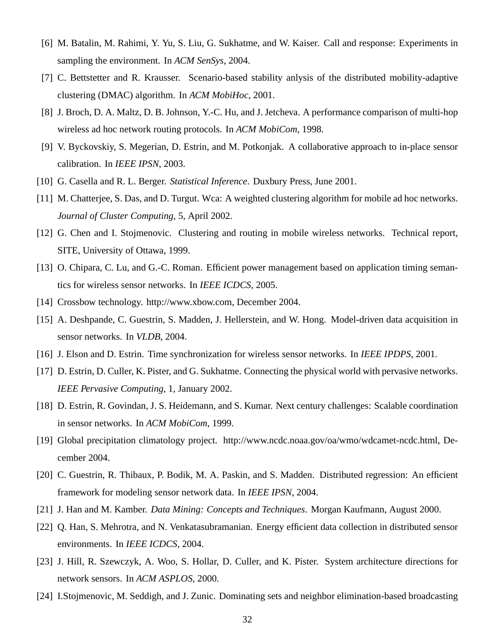- [6] M. Batalin, M. Rahimi, Y. Yu, S. Liu, G. Sukhatme, and W. Kaiser. Call and response: Experiments in sampling the environment. In *ACM SenSys*, 2004.
- [7] C. Bettstetter and R. Krausser. Scenario-based stability anlysis of the distributed mobility-adaptive clustering (DMAC) algorithm. In *ACM MobiHoc*, 2001.
- [8] J. Broch, D. A. Maltz, D. B. Johnson, Y.-C. Hu, and J. Jetcheva. A performance comparison of multi-hop wireless ad hoc network routing protocols. In *ACM MobiCom*, 1998.
- [9] V. Byckovskiy, S. Megerian, D. Estrin, and M. Potkonjak. A collaborative approach to in-place sensor calibration. In *IEEE IPSN*, 2003.
- [10] G. Casella and R. L. Berger. *Statistical Inference*. Duxbury Press, June 2001.
- [11] M. Chatterjee, S. Das, and D. Turgut. Wca: A weighted clustering algorithm for mobile ad hoc networks. *Journal of Cluster Computing*, 5, April 2002.
- [12] G. Chen and I. Stojmenovic. Clustering and routing in mobile wireless networks. Technical report, SITE, University of Ottawa, 1999.
- [13] O. Chipara, C. Lu, and G.-C. Roman. Efficient power management based on application timing semantics for wireless sensor networks. In *IEEE ICDCS*, 2005.
- [14] Crossbow technology. http://www.xbow.com, December 2004.
- [15] A. Deshpande, C. Guestrin, S. Madden, J. Hellerstein, and W. Hong. Model-driven data acquisition in sensor networks. In *VLDB*, 2004.
- [16] J. Elson and D. Estrin. Time synchronization for wireless sensor networks. In *IEEE IPDPS*, 2001.
- [17] D. Estrin, D. Culler, K. Pister, and G. Sukhatme. Connecting the physical world with pervasive networks. *IEEE Pervasive Computing*, 1, January 2002.
- [18] D. Estrin, R. Govindan, J. S. Heidemann, and S. Kumar. Next century challenges: Scalable coordination in sensor networks. In *ACM MobiCom*, 1999.
- [19] Global precipitation climatology project. http://www.ncdc.noaa.gov/oa/wmo/wdcamet-ncdc.html, December 2004.
- [20] C. Guestrin, R. Thibaux, P. Bodik, M. A. Paskin, and S. Madden. Distributed regression: An efficient framework for modeling sensor network data. In *IEEE IPSN*, 2004.
- [21] J. Han and M. Kamber. *Data Mining: Concepts and Techniques*. Morgan Kaufmann, August 2000.
- [22] Q. Han, S. Mehrotra, and N. Venkatasubramanian. Energy efficient data collection in distributed sensor environments. In *IEEE ICDCS*, 2004.
- [23] J. Hill, R. Szewczyk, A. Woo, S. Hollar, D. Culler, and K. Pister. System architecture directions for network sensors. In *ACM ASPLOS*, 2000.
- [24] I.Stojmenovic, M. Seddigh, and J. Zunic. Dominating sets and neighbor elimination-based broadcasting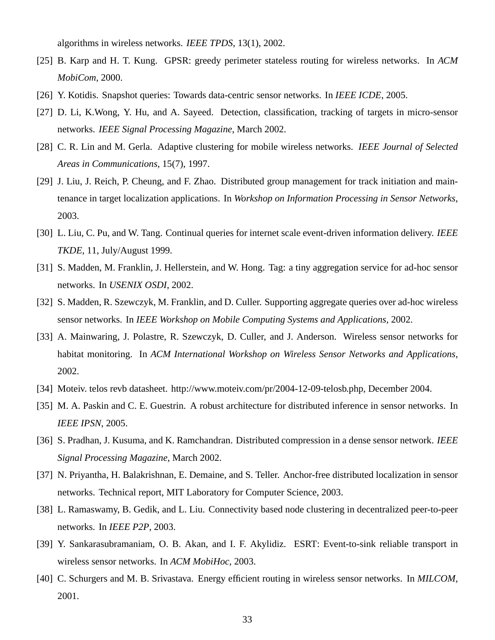algorithms in wireless networks. *IEEE TPDS*, 13(1), 2002.

- [25] B. Karp and H. T. Kung. GPSR: greedy perimeter stateless routing for wireless networks. In *ACM MobiCom*, 2000.
- [26] Y. Kotidis. Snapshot queries: Towards data-centric sensor networks. In *IEEE ICDE*, 2005.
- [27] D. Li, K.Wong, Y. Hu, and A. Sayeed. Detection, classification, tracking of targets in micro-sensor networks. *IEEE Signal Processing Magazine*, March 2002.
- [28] C. R. Lin and M. Gerla. Adaptive clustering for mobile wireless networks. *IEEE Journal of Selected Areas in Communications*, 15(7), 1997.
- [29] J. Liu, J. Reich, P. Cheung, and F. Zhao. Distributed group management for track initiation and maintenance in target localization applications. In *Workshop on Information Processing in Sensor Networks*, 2003.
- [30] L. Liu, C. Pu, and W. Tang. Continual queries for internet scale event-driven information delivery. *IEEE TKDE*, 11, July/August 1999.
- [31] S. Madden, M. Franklin, J. Hellerstein, and W. Hong. Tag: a tiny aggregation service for ad-hoc sensor networks. In *USENIX OSDI*, 2002.
- [32] S. Madden, R. Szewczyk, M. Franklin, and D. Culler. Supporting aggregate queries over ad-hoc wireless sensor networks. In *IEEE Workshop on Mobile Computing Systems and Applications*, 2002.
- [33] A. Mainwaring, J. Polastre, R. Szewczyk, D. Culler, and J. Anderson. Wireless sensor networks for habitat monitoring. In *ACM International Workshop on Wireless Sensor Networks and Applications*, 2002.
- [34] Moteiv. telos revb datasheet. http://www.moteiv.com/pr/2004-12-09-telosb.php, December 2004.
- [35] M. A. Paskin and C. E. Guestrin. A robust architecture for distributed inference in sensor networks. In *IEEE IPSN*, 2005.
- [36] S. Pradhan, J. Kusuma, and K. Ramchandran. Distributed compression in a dense sensor network. *IEEE Signal Processing Magazine*, March 2002.
- [37] N. Priyantha, H. Balakrishnan, E. Demaine, and S. Teller. Anchor-free distributed localization in sensor networks. Technical report, MIT Laboratory for Computer Science, 2003.
- [38] L. Ramaswamy, B. Gedik, and L. Liu. Connectivity based node clustering in decentralized peer-to-peer networks. In *IEEE P2P*, 2003.
- [39] Y. Sankarasubramaniam, O. B. Akan, and I. F. Akylidiz. ESRT: Event-to-sink reliable transport in wireless sensor networks. In *ACM MobiHoc*, 2003.
- [40] C. Schurgers and M. B. Srivastava. Energy efficient routing in wireless sensor networks. In *MILCOM*, 2001.